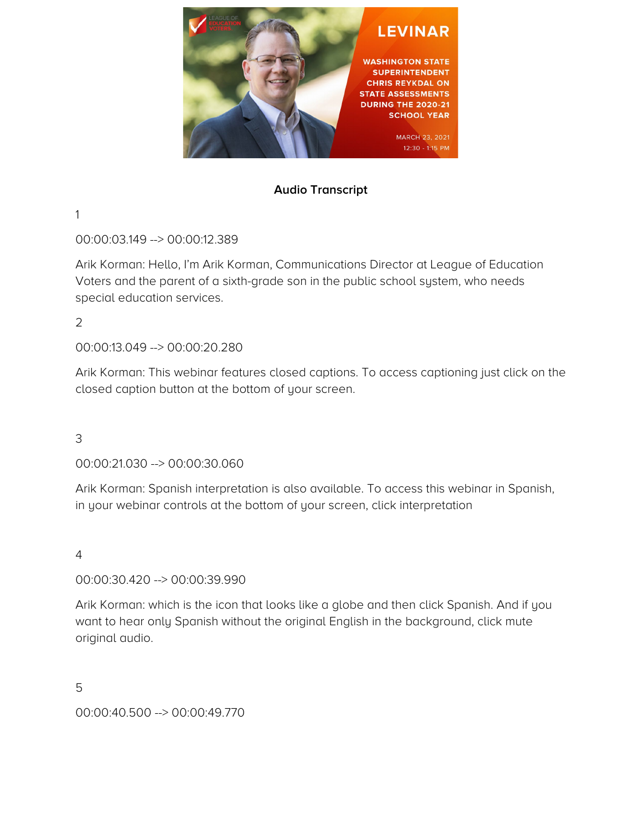

## **Audio Transcript**

1

00:00:03.149 --> 00:00:12.389

Arik Korman: Hello, I'm Arik Korman, Communications Director at League of Education Voters and the parent of a sixth-grade son in the public school system, who needs special education services.

2

00:00:13.049 --> 00:00:20.280

Arik Korman: This webinar features closed captions. To access captioning just click on the closed caption button at the bottom of your screen.

3

00:00:21.030 --> 00:00:30.060

Arik Korman: Spanish interpretation is also available. To access this webinar in Spanish, in your webinar controls at the bottom of your screen, click interpretation

4

00:00:30.420 --> 00:00:39.990

Arik Korman: which is the icon that looks like a globe and then click Spanish. And if you want to hear only Spanish without the original English in the background, click mute original audio.

5

00:00:40.500 --> 00:00:49.770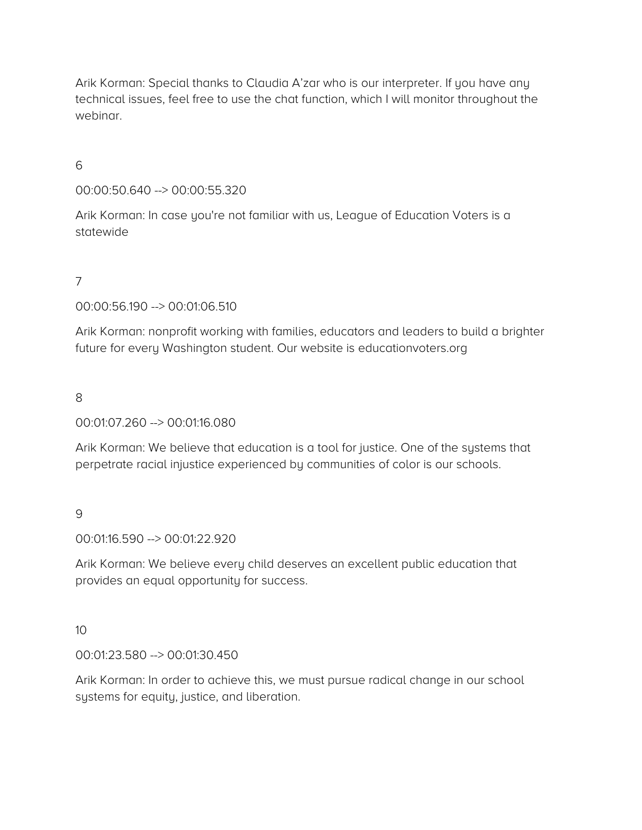Arik Korman: Special thanks to Claudia A'zar who is our interpreter. If you have any technical issues, feel free to use the chat function, which I will monitor throughout the webinar.

6

00:00:50.640 --> 00:00:55.320

Arik Korman: In case you're not familiar with us, League of Education Voters is a statewide

7

00:00:56.190 --> 00:01:06.510

Arik Korman: nonprofit working with families, educators and leaders to build a brighter future for every Washington student. Our website is educationvoters.org

8

00:01:07.260 --> 00:01:16.080

Arik Korman: We believe that education is a tool for justice. One of the systems that perpetrate racial injustice experienced by communities of color is our schools.

9

00:01:16.590 --> 00:01:22.920

Arik Korman: We believe every child deserves an excellent public education that provides an equal opportunity for success.

 $10<sup>1</sup>$ 

00:01:23.580 --> 00:01:30.450

Arik Korman: In order to achieve this, we must pursue radical change in our school systems for equity, justice, and liberation.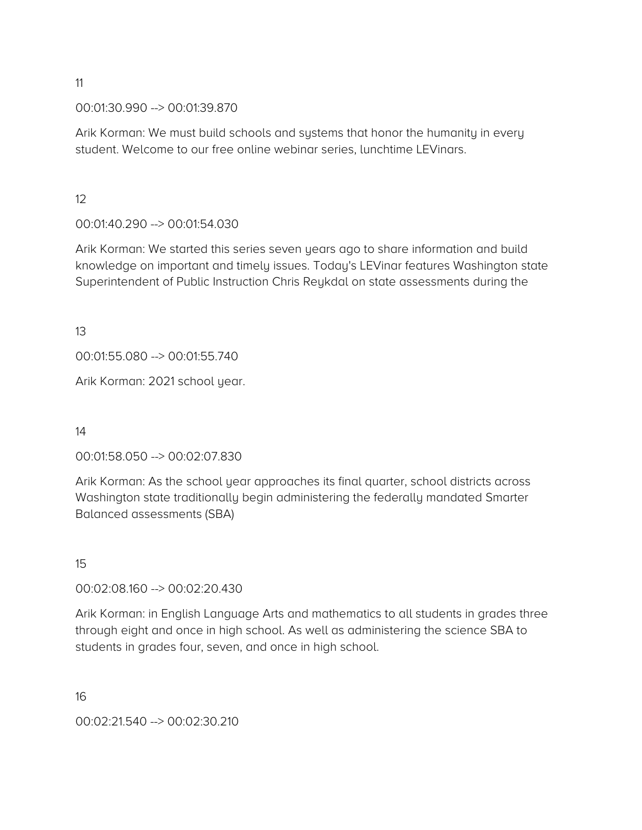00:01:30.990 --> 00:01:39.870

Arik Korman: We must build schools and systems that honor the humanity in every student. Welcome to our free online webinar series, lunchtime LEVinars.

12

00:01:40.290 --> 00:01:54.030

Arik Korman: We started this series seven years ago to share information and build knowledge on important and timely issues. Today's LEVinar features Washington state Superintendent of Public Instruction Chris Reykdal on state assessments during the

13

00:01:55.080 --> 00:01:55.740

Arik Korman: 2021 school year.

14

00:01:58.050 --> 00:02:07.830

Arik Korman: As the school year approaches its final quarter, school districts across Washington state traditionally begin administering the federally mandated Smarter Balanced assessments (SBA)

15

#### 00:02:08.160 --> 00:02:20.430

Arik Korman: in English Language Arts and mathematics to all students in grades three through eight and once in high school. As well as administering the science SBA to students in grades four, seven, and once in high school.

16

00:02:21.540 --> 00:02:30.210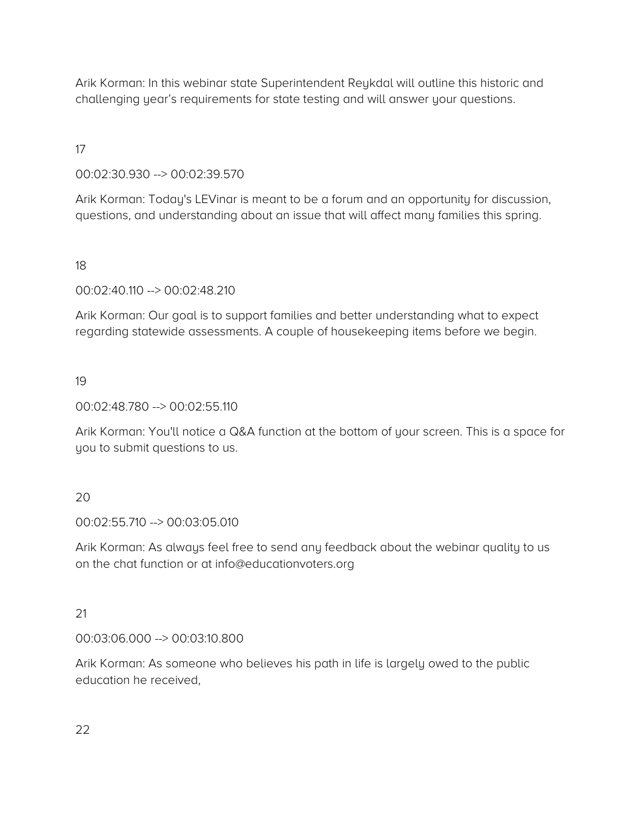Arik Korman: In this webinar state Superintendent Reykdal will outline this historic and challenging year's requirements for state testing and will answer your questions.

17

00:02:30.930 --> 00:02:39.570

Arik Korman: Today's LEVinar is meant to be a forum and an opportunity for discussion, questions, and understanding about an issue that will affect many families this spring.

18

00:02:40.110 --> 00:02:48.210

Arik Korman: Our goal is to support families and better understanding what to expect regarding statewide assessments. A couple of housekeeping items before we begin.

19

00:02:48.780 --> 00:02:55.110

Arik Korman: You'll notice a Q&A function at the bottom of your screen. This is a space for you to submit questions to us.

20

00:02:55.710 --> 00:03:05.010

Arik Korman: As always feel free to send any feedback about the webinar quality to us on the chat function or at info@educationvoters.org

21

00:03:06.000 --> 00:03:10.800

Arik Korman: As someone who believes his path in life is largely owed to the public education he received,

22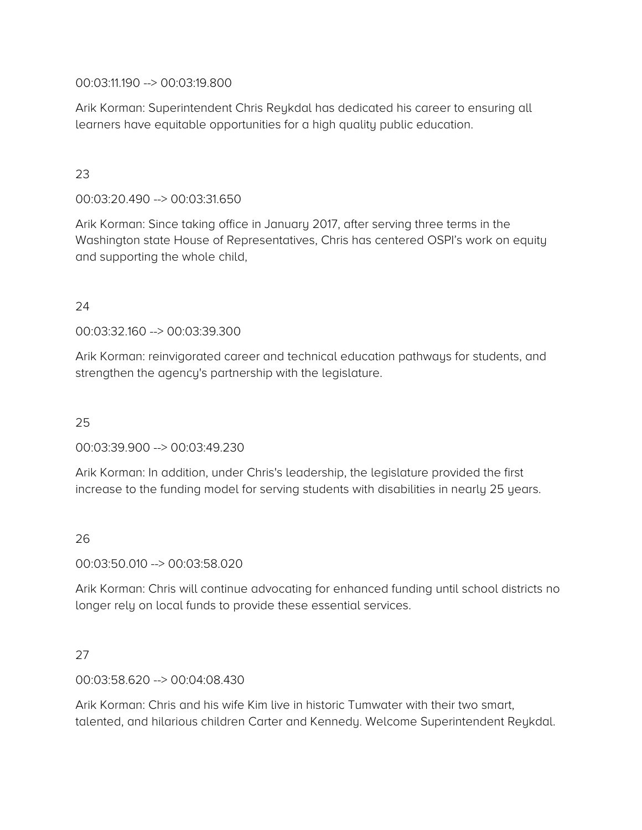00:03:11.190 --> 00:03:19.800

Arik Korman: Superintendent Chris Reykdal has dedicated his career to ensuring all learners have equitable opportunities for a high quality public education.

# 23

00:03:20.490 --> 00:03:31.650

Arik Korman: Since taking office in January 2017, after serving three terms in the Washington state House of Representatives, Chris has centered OSPI's work on equity and supporting the whole child,

#### 24

00:03:32.160 --> 00:03:39.300

Arik Korman: reinvigorated career and technical education pathways for students, and strengthen the agency's partnership with the legislature.

## 25

00:03:39.900 --> 00:03:49.230

Arik Korman: In addition, under Chris's leadership, the legislature provided the first increase to the funding model for serving students with disabilities in nearly 25 years.

## 26

00:03:50.010 --> 00:03:58.020

Arik Korman: Chris will continue advocating for enhanced funding until school districts no longer rely on local funds to provide these essential services.

#### 27

00:03:58.620 --> 00:04:08.430

Arik Korman: Chris and his wife Kim live in historic Tumwater with their two smart, talented, and hilarious children Carter and Kennedy. Welcome Superintendent Reykdal.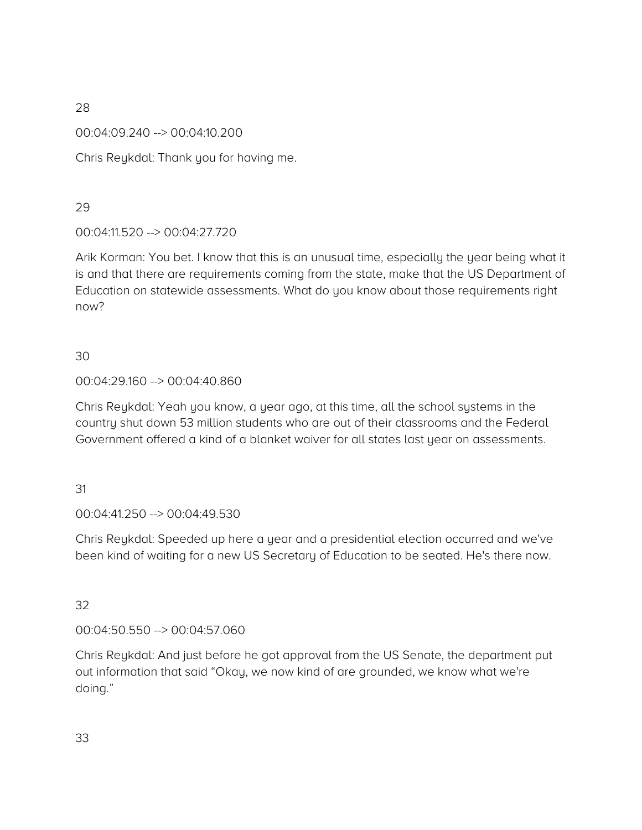00:04:09.240 --> 00:04:10.200

Chris Reykdal: Thank you for having me.

## 29

00:04:11.520 --> 00:04:27.720

Arik Korman: You bet. I know that this is an unusual time, especially the year being what it is and that there are requirements coming from the state, make that the US Department of Education on statewide assessments. What do you know about those requirements right now?

## 30

#### 00:04:29.160 --> 00:04:40.860

Chris Reykdal: Yeah you know, a year ago, at this time, all the school systems in the country shut down 53 million students who are out of their classrooms and the Federal Government offered a kind of a blanket waiver for all states last year on assessments.

## 31

00:04:41.250 --> 00:04:49.530

Chris Reykdal: Speeded up here a year and a presidential election occurred and we've been kind of waiting for a new US Secretary of Education to be seated. He's there now.

## 32

00:04:50.550 --> 00:04:57.060

Chris Reykdal: And just before he got approval from the US Senate, the department put out information that said "Okay, we now kind of are grounded, we know what we're doing."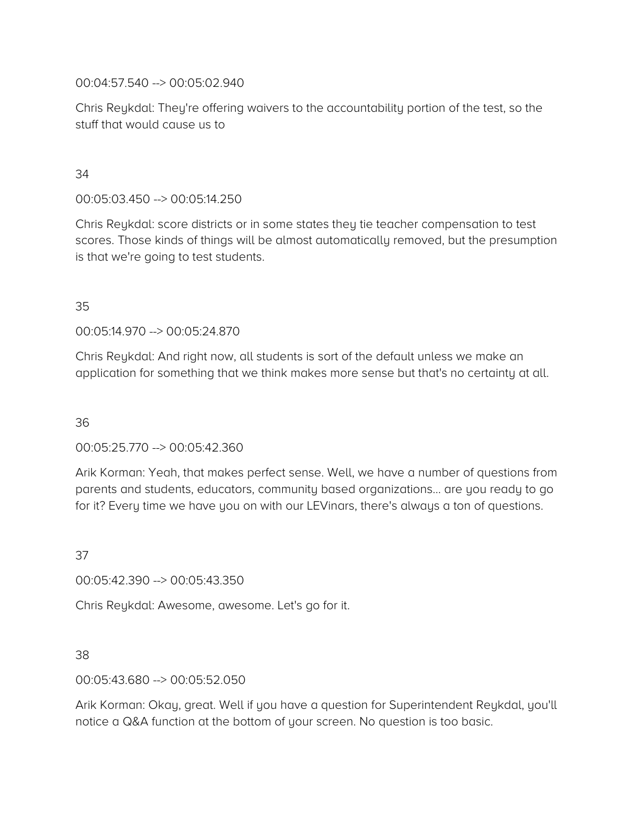00:04:57.540 --> 00:05:02.940

Chris Reykdal: They're offering waivers to the accountability portion of the test, so the stuff that would cause us to

## 34

00:05:03.450 --> 00:05:14.250

Chris Reykdal: score districts or in some states they tie teacher compensation to test scores. Those kinds of things will be almost automatically removed, but the presumption is that we're going to test students.

#### 35

00:05:14.970 --> 00:05:24.870

Chris Reykdal: And right now, all students is sort of the default unless we make an application for something that we think makes more sense but that's no certainty at all.

36

00:05:25.770 --> 00:05:42.360

Arik Korman: Yeah, that makes perfect sense. Well, we have a number of questions from parents and students, educators, community based organizations… are you ready to go for it? Every time we have you on with our LEVinars, there's always a ton of questions.

37

00:05:42.390 --> 00:05:43.350

Chris Reykdal: Awesome, awesome. Let's go for it.

38

00:05:43.680 --> 00:05:52.050

Arik Korman: Okay, great. Well if you have a question for Superintendent Reykdal, you'll notice a Q&A function at the bottom of your screen. No question is too basic.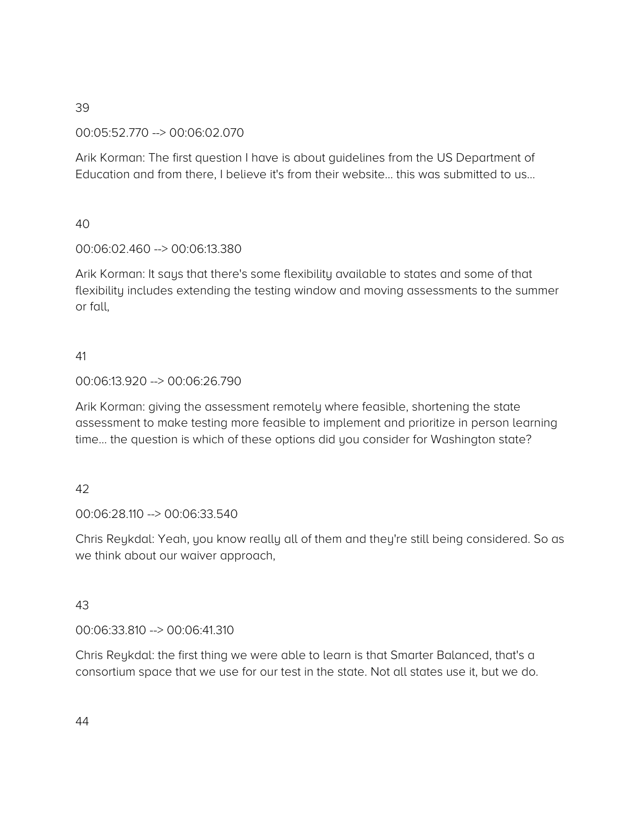00:05:52.770 --> 00:06:02.070

Arik Korman: The first question I have is about guidelines from the US Department of Education and from there, I believe it's from their website… this was submitted to us…

40

## 00:06:02.460 --> 00:06:13.380

Arik Korman: It says that there's some flexibility available to states and some of that flexibility includes extending the testing window and moving assessments to the summer or fall,

#### 41

#### 00:06:13.920 --> 00:06:26.790

Arik Korman: giving the assessment remotely where feasible, shortening the state assessment to make testing more feasible to implement and prioritize in person learning time… the question is which of these options did you consider for Washington state?

#### 42

00:06:28.110 --> 00:06:33.540

Chris Reykdal: Yeah, you know really all of them and they're still being considered. So as we think about our waiver approach,

#### 43

00:06:33.810 --> 00:06:41.310

Chris Reykdal: the first thing we were able to learn is that Smarter Balanced, that's a consortium space that we use for our test in the state. Not all states use it, but we do.

44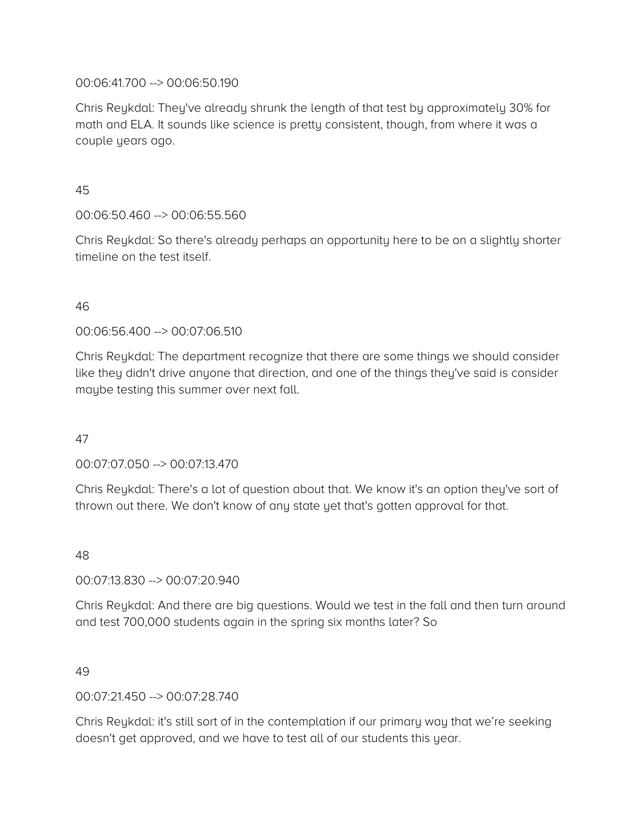### 00:06:41.700 --> 00:06:50.190

Chris Reykdal: They've already shrunk the length of that test by approximately 30% for math and ELA. It sounds like science is pretty consistent, though, from where it was a couple years ago.

45

### 00:06:50.460 --> 00:06:55.560

Chris Reykdal: So there's already perhaps an opportunity here to be on a slightly shorter timeline on the test itself.

#### 46

#### 00:06:56.400 --> 00:07:06.510

Chris Reykdal: The department recognize that there are some things we should consider like they didn't drive anyone that direction, and one of the things they've said is consider maybe testing this summer over next fall.

## 47

#### 00:07:07.050 --> 00:07:13.470

Chris Reykdal: There's a lot of question about that. We know it's an option they've sort of thrown out there. We don't know of any state yet that's gotten approval for that.

#### 48

#### 00:07:13.830 --> 00:07:20.940

Chris Reykdal: And there are big questions. Would we test in the fall and then turn around and test 700,000 students again in the spring six months later? So

#### 49

00:07:21.450 --> 00:07:28.740

Chris Reykdal: it's still sort of in the contemplation if our primary way that we're seeking doesn't get approved, and we have to test all of our students this year.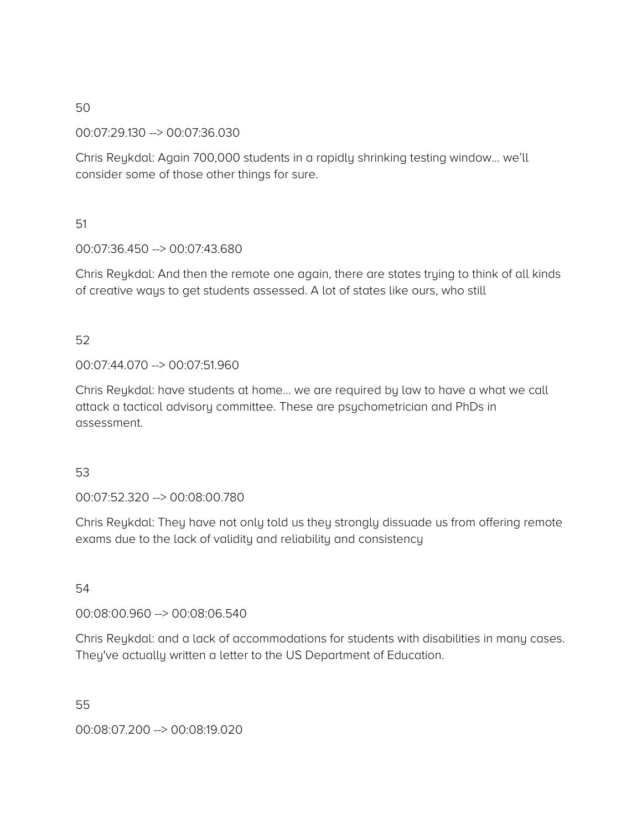00:07:29.130 --> 00:07:36.030

Chris Reykdal: Again 700,000 students in a rapidly shrinking testing window… we'll consider some of those other things for sure.

#### 51

00:07:36.450 --> 00:07:43.680

Chris Reykdal: And then the remote one again, there are states trying to think of all kinds of creative ways to get students assessed. A lot of states like ours, who still

## 52

00:07:44.070 --> 00:07:51.960

Chris Reykdal: have students at home… we are required by law to have a what we call attack a tactical advisory committee. These are psychometrician and PhDs in assessment.

#### 53

00:07:52.320 --> 00:08:00.780

Chris Reykdal: They have not only told us they strongly dissuade us from offering remote exams due to the lack of validity and reliability and consistency

# 54

00:08:00.960 --> 00:08:06.540

Chris Reykdal: and a lack of accommodations for students with disabilities in many cases. They've actually written a letter to the US Department of Education.

55

00:08:07.200 --> 00:08:19.020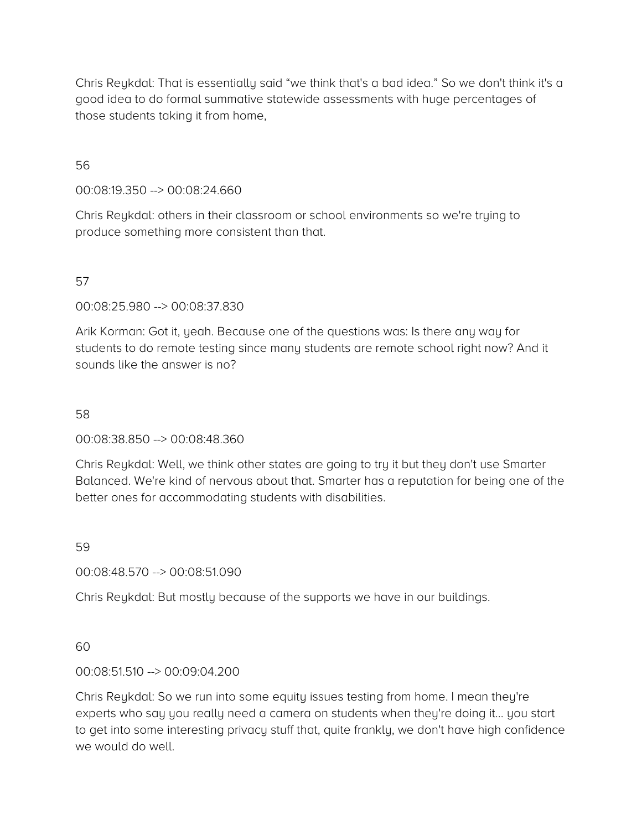Chris Reykdal: That is essentially said "we think that's a bad idea." So we don't think it's a good idea to do formal summative statewide assessments with huge percentages of those students taking it from home,

## 56

00:08:19.350 --> 00:08:24.660

Chris Reykdal: others in their classroom or school environments so we're trying to produce something more consistent than that.

## 57

00:08:25.980 --> 00:08:37.830

Arik Korman: Got it, yeah. Because one of the questions was: Is there any way for students to do remote testing since many students are remote school right now? And it sounds like the answer is no?

#### 58

00:08:38.850 --> 00:08:48.360

Chris Reykdal: Well, we think other states are going to try it but they don't use Smarter Balanced. We're kind of nervous about that. Smarter has a reputation for being one of the better ones for accommodating students with disabilities.

#### 59

00:08:48.570 --> 00:08:51.090

Chris Reykdal: But mostly because of the supports we have in our buildings.

#### 60

00:08:51.510 --> 00:09:04.200

Chris Reykdal: So we run into some equity issues testing from home. I mean they're experts who say you really need a camera on students when they're doing it… you start to get into some interesting privacy stuff that, quite frankly, we don't have high confidence we would do well.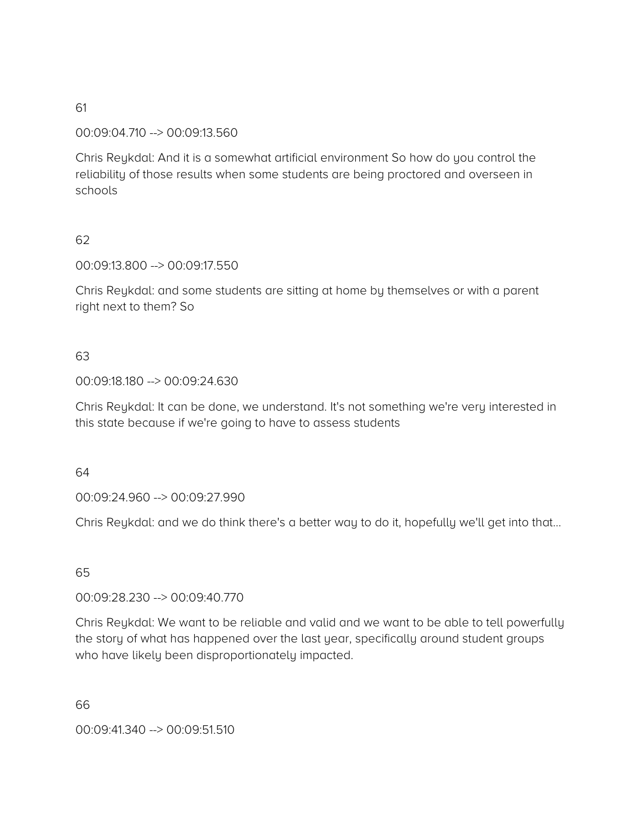#### 00:09:04.710 --> 00:09:13.560

Chris Reykdal: And it is a somewhat artificial environment So how do you control the reliability of those results when some students are being proctored and overseen in schools

## 62

00:09:13.800 --> 00:09:17.550

Chris Reykdal: and some students are sitting at home by themselves or with a parent right next to them? So

#### 63

#### 00:09:18.180 --> 00:09:24.630

Chris Reykdal: It can be done, we understand. It's not something we're very interested in this state because if we're going to have to assess students

#### 64

00:09:24.960 --> 00:09:27.990

Chris Reykdal: and we do think there's a better way to do it, hopefully we'll get into that…

#### 65

00:09:28.230 --> 00:09:40.770

Chris Reykdal: We want to be reliable and valid and we want to be able to tell powerfully the story of what has happened over the last year, specifically around student groups who have likely been disproportionately impacted.

#### 66

00:09:41.340 --> 00:09:51.510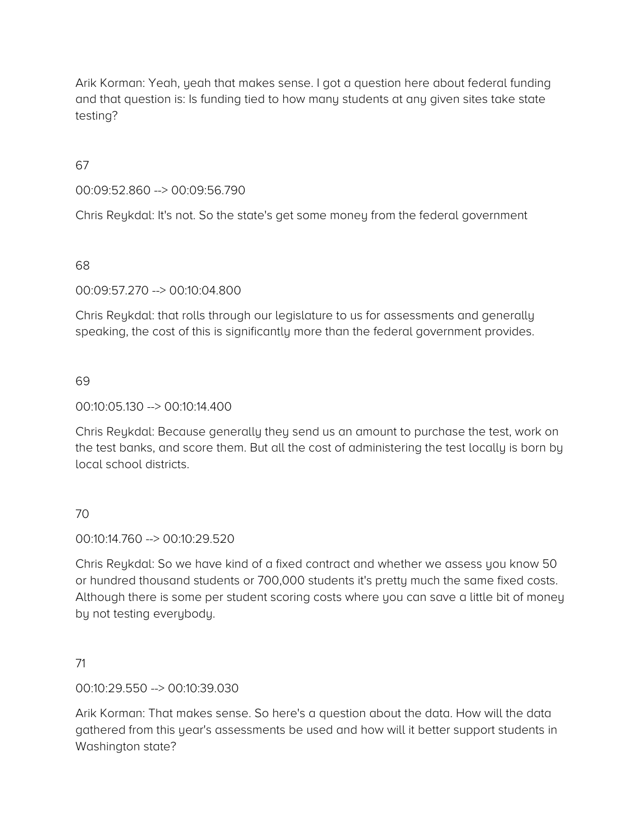Arik Korman: Yeah, yeah that makes sense. I got a question here about federal funding and that question is: Is funding tied to how many students at any given sites take state testing?

67

00:09:52.860 --> 00:09:56.790

Chris Reykdal: It's not. So the state's get some money from the federal government

68

00:09:57.270 --> 00:10:04.800

Chris Reykdal: that rolls through our legislature to us for assessments and generally speaking, the cost of this is significantly more than the federal government provides.

69

00:10:05.130 --> 00:10:14.400

Chris Reykdal: Because generally they send us an amount to purchase the test, work on the test banks, and score them. But all the cost of administering the test locally is born by local school districts.

#### 70

00:10:14.760 --> 00:10:29.520

Chris Reykdal: So we have kind of a fixed contract and whether we assess you know 50 or hundred thousand students or 700,000 students it's pretty much the same fixed costs. Although there is some per student scoring costs where you can save a little bit of money by not testing everybody.

71

00:10:29.550 --> 00:10:39.030

Arik Korman: That makes sense. So here's a question about the data. How will the data gathered from this year's assessments be used and how will it better support students in Washington state?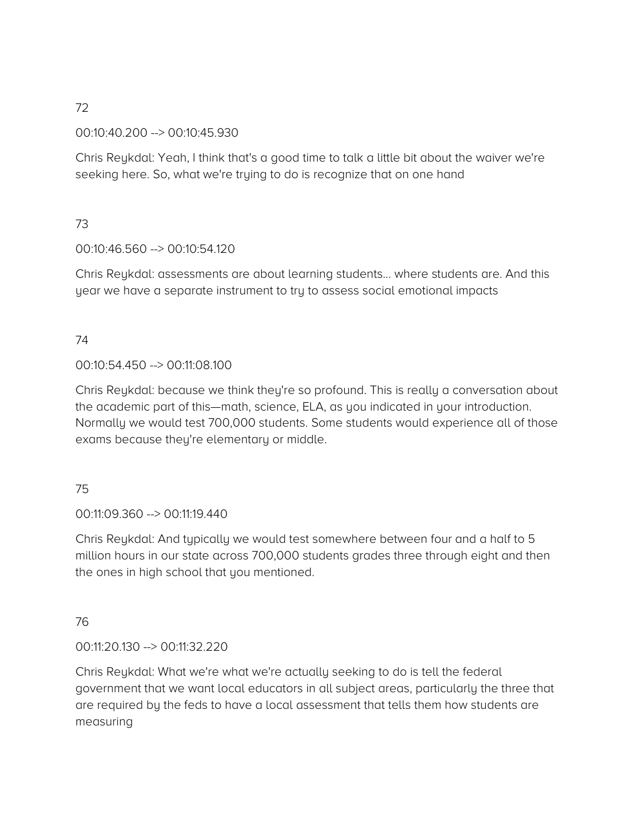00:10:40.200 --> 00:10:45.930

Chris Reykdal: Yeah, I think that's a good time to talk a little bit about the waiver we're seeking here. So, what we're trying to do is recognize that on one hand

## 73

00:10:46.560 --> 00:10:54.120

Chris Reykdal: assessments are about learning students… where students are. And this year we have a separate instrument to try to assess social emotional impacts

# 74

00:10:54.450 --> 00:11:08.100

Chris Reykdal: because we think they're so profound. This is really a conversation about the academic part of this—math, science, ELA, as you indicated in your introduction. Normally we would test 700,000 students. Some students would experience all of those exams because they're elementary or middle.

## 75

00:11:09.360 --> 00:11:19.440

Chris Reykdal: And typically we would test somewhere between four and a half to 5 million hours in our state across 700,000 students grades three through eight and then the ones in high school that you mentioned.

## 76

00:11:20.130 --> 00:11:32.220

Chris Reykdal: What we're what we're actually seeking to do is tell the federal government that we want local educators in all subject areas, particularly the three that are required by the feds to have a local assessment that tells them how students are measuring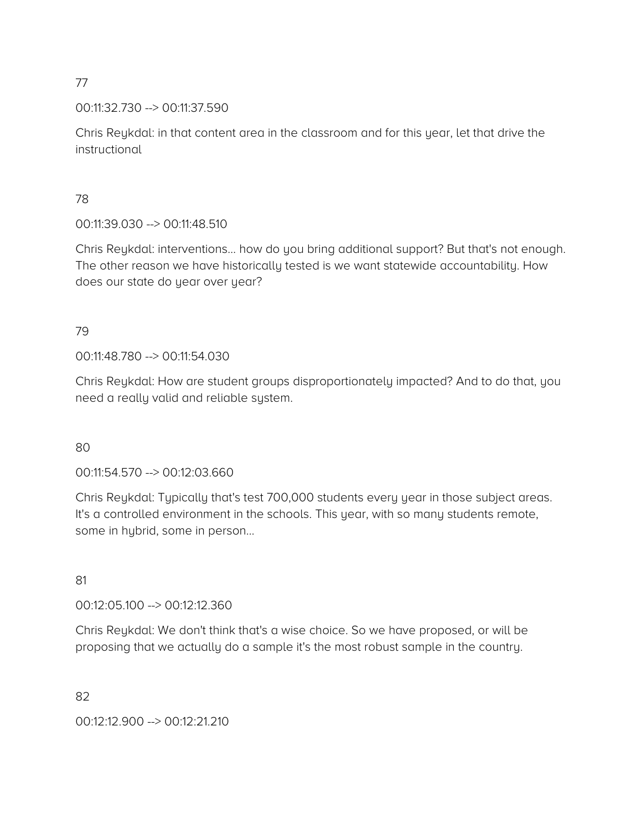00:11:32.730 --> 00:11:37.590

Chris Reykdal: in that content area in the classroom and for this year, let that drive the instructional

## 78

00:11:39.030 --> 00:11:48.510

Chris Reykdal: interventions… how do you bring additional support? But that's not enough. The other reason we have historically tested is we want statewide accountability. How does our state do year over year?

## 79

00:11:48.780 --> 00:11:54.030

Chris Reykdal: How are student groups disproportionately impacted? And to do that, you need a really valid and reliable system.

80

00:11:54.570 --> 00:12:03.660

Chris Reykdal: Typically that's test 700,000 students every year in those subject areas. It's a controlled environment in the schools. This year, with so many students remote, some in hybrid, some in person…

# 81

00:12:05.100 --> 00:12:12.360

Chris Reykdal: We don't think that's a wise choice. So we have proposed, or will be proposing that we actually do a sample it's the most robust sample in the country.

82

00:12:12.900 --> 00:12:21.210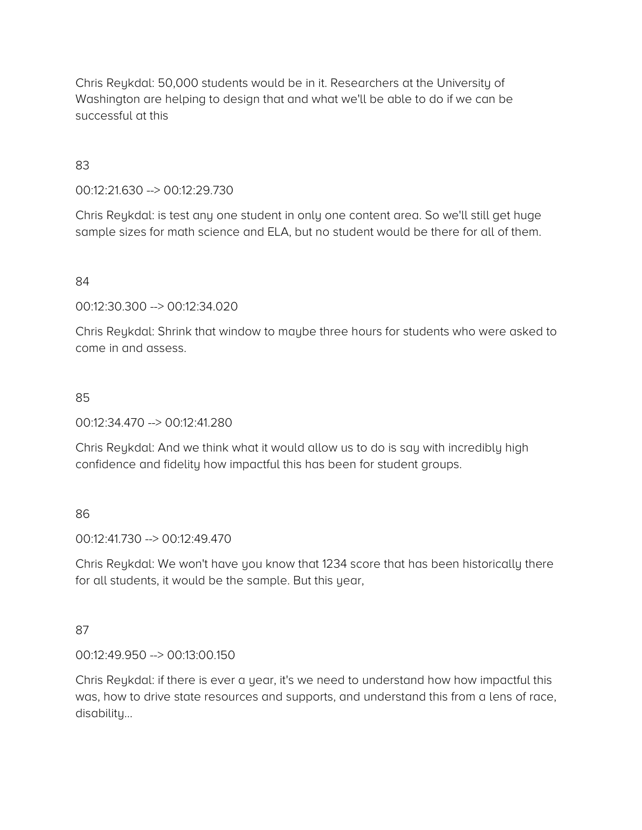Chris Reykdal: 50,000 students would be in it. Researchers at the University of Washington are helping to design that and what we'll be able to do if we can be successful at this

### 83

00:12:21.630 --> 00:12:29.730

Chris Reykdal: is test any one student in only one content area. So we'll still get huge sample sizes for math science and ELA, but no student would be there for all of them.

#### 84

00:12:30.300 --> 00:12:34.020

Chris Reykdal: Shrink that window to maybe three hours for students who were asked to come in and assess.

#### 85

00:12:34.470 --> 00:12:41.280

Chris Reykdal: And we think what it would allow us to do is say with incredibly high confidence and fidelity how impactful this has been for student groups.

# 86

00:12:41.730 --> 00:12:49.470

Chris Reykdal: We won't have you know that 1234 score that has been historically there for all students, it would be the sample. But this year,

#### 87

00:12:49.950 --> 00:13:00.150

Chris Reykdal: if there is ever a year, it's we need to understand how how impactful this was, how to drive state resources and supports, and understand this from a lens of race, disability…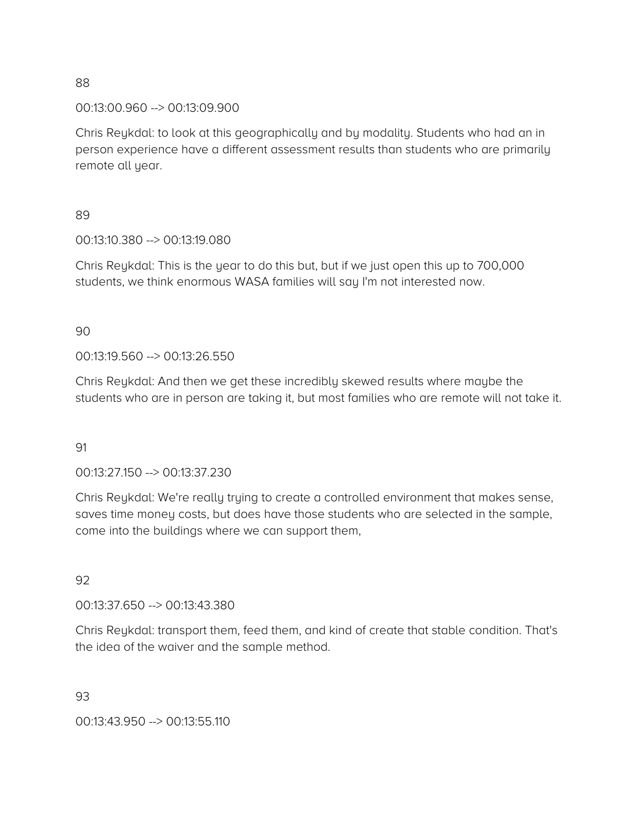00:13:00.960 --> 00:13:09.900

Chris Reykdal: to look at this geographically and by modality. Students who had an in person experience have a different assessment results than students who are primarily remote all year.

## 89

00:13:10.380 --> 00:13:19.080

Chris Reykdal: This is the year to do this but, but if we just open this up to 700,000 students, we think enormous WASA families will say I'm not interested now.

90

00:13:19.560 --> 00:13:26.550

Chris Reykdal: And then we get these incredibly skewed results where maybe the students who are in person are taking it, but most families who are remote will not take it.

91

00:13:27.150 --> 00:13:37.230

Chris Reykdal: We're really trying to create a controlled environment that makes sense, saves time money costs, but does have those students who are selected in the sample, come into the buildings where we can support them,

## 92

00:13:37.650 --> 00:13:43.380

Chris Reykdal: transport them, feed them, and kind of create that stable condition. That's the idea of the waiver and the sample method.

93

00:13:43.950 --> 00:13:55.110

88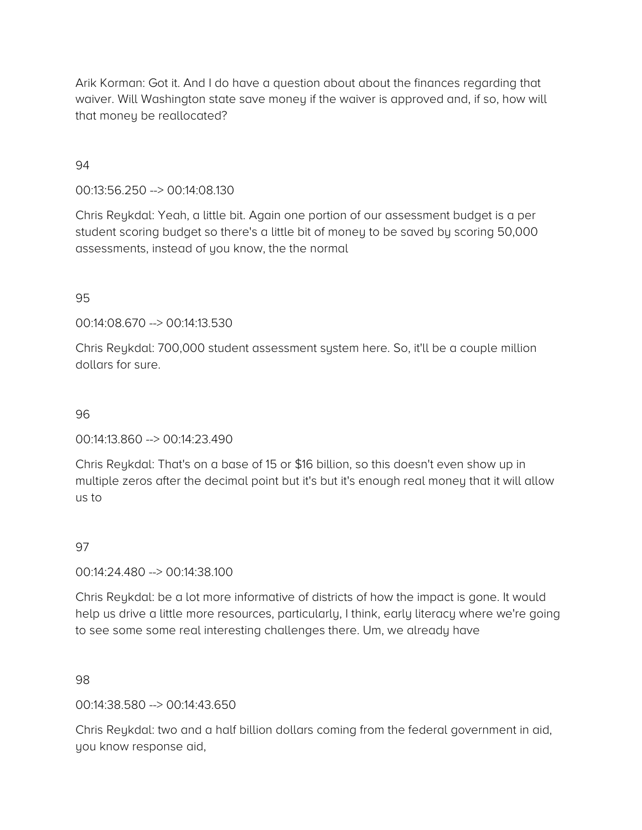Arik Korman: Got it. And I do have a question about about the finances regarding that waiver. Will Washington state save money if the waiver is approved and, if so, how will that money be reallocated?

### 94

00:13:56.250 --> 00:14:08.130

Chris Reykdal: Yeah, a little bit. Again one portion of our assessment budget is a per student scoring budget so there's a little bit of money to be saved by scoring 50,000 assessments, instead of you know, the the normal

#### 95

00:14:08.670 --> 00:14:13.530

Chris Reykdal: 700,000 student assessment system here. So, it'll be a couple million dollars for sure.

#### 96

00:14:13.860 --> 00:14:23.490

Chris Reykdal: That's on a base of 15 or \$16 billion, so this doesn't even show up in multiple zeros after the decimal point but it's but it's enough real money that it will allow us to

#### 97

00:14:24.480 --> 00:14:38.100

Chris Reykdal: be a lot more informative of districts of how the impact is gone. It would help us drive a little more resources, particularly, I think, early literacy where we're going to see some some real interesting challenges there. Um, we already have

#### 98

00:14:38.580 --> 00:14:43.650

Chris Reykdal: two and a half billion dollars coming from the federal government in aid, you know response aid,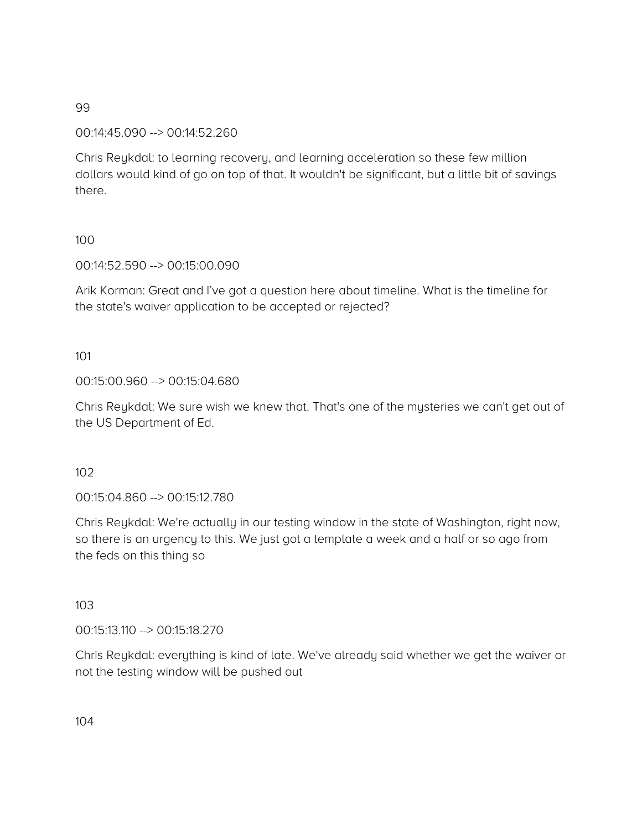00:14:45.090 --> 00:14:52.260

Chris Reykdal: to learning recovery, and learning acceleration so these few million dollars would kind of go on top of that. It wouldn't be significant, but a little bit of savings there.

## 100

00:14:52.590 --> 00:15:00.090

Arik Korman: Great and I've got a question here about timeline. What is the timeline for the state's waiver application to be accepted or rejected?

#### 101

#### 00:15:00.960 --> 00:15:04.680

Chris Reykdal: We sure wish we knew that. That's one of the mysteries we can't get out of the US Department of Ed.

#### 102

00:15:04.860 --> 00:15:12.780

Chris Reykdal: We're actually in our testing window in the state of Washington, right now, so there is an urgency to this. We just got a template a week and a half or so ago from the feds on this thing so

#### 103

00:15:13.110 --> 00:15:18.270

Chris Reykdal: everything is kind of late. We've already said whether we get the waiver or not the testing window will be pushed out

104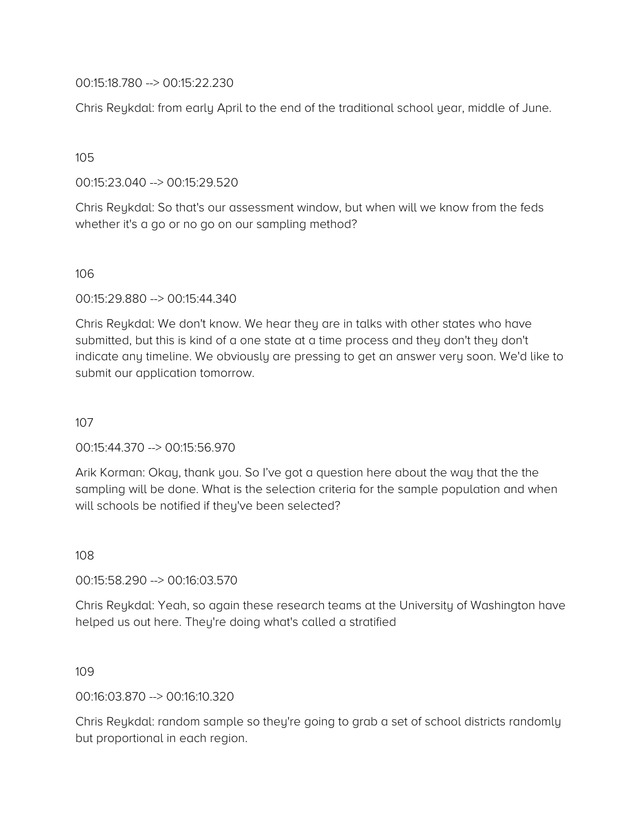00:15:18.780 --> 00:15:22.230

Chris Reykdal: from early April to the end of the traditional school year, middle of June.

105

00:15:23.040 --> 00:15:29.520

Chris Reykdal: So that's our assessment window, but when will we know from the feds whether it's a go or no go on our sampling method?

106

00:15:29.880 --> 00:15:44.340

Chris Reykdal: We don't know. We hear they are in talks with other states who have submitted, but this is kind of a one state at a time process and they don't they don't indicate any timeline. We obviously are pressing to get an answer very soon. We'd like to submit our application tomorrow.

107

00:15:44.370 --> 00:15:56.970

Arik Korman: Okay, thank you. So I've got a question here about the way that the the sampling will be done. What is the selection criteria for the sample population and when will schools be notified if they've been selected?

108

00:15:58.290 --> 00:16:03.570

Chris Reykdal: Yeah, so again these research teams at the University of Washington have helped us out here. They're doing what's called a stratified

109

00:16:03.870 --> 00:16:10.320

Chris Reykdal: random sample so they're going to grab a set of school districts randomly but proportional in each region.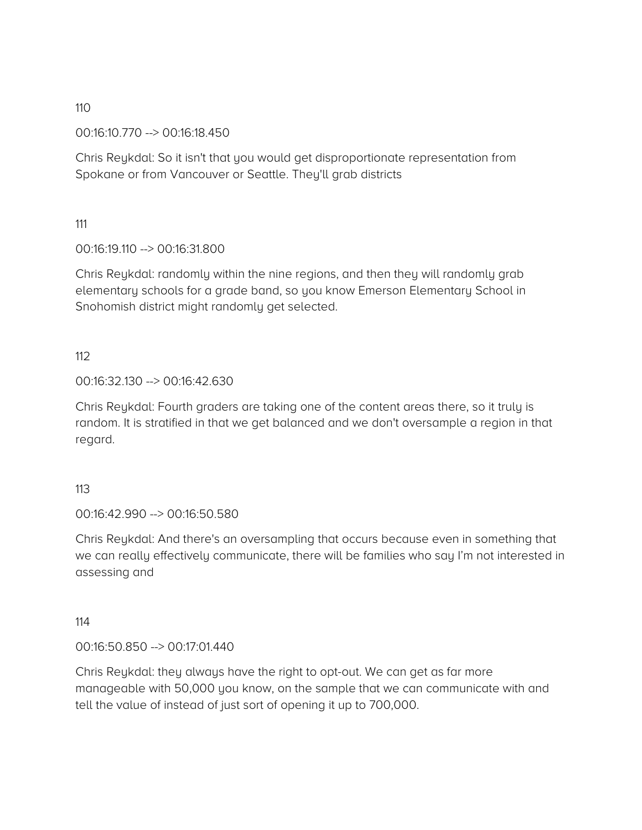00:16:10.770 --> 00:16:18.450

Chris Reykdal: So it isn't that you would get disproportionate representation from Spokane or from Vancouver or Seattle. They'll grab districts

111

00:16:19.110 --> 00:16:31.800

Chris Reykdal: randomly within the nine regions, and then they will randomly grab elementary schools for a grade band, so you know Emerson Elementary School in Snohomish district might randomly get selected.

112

00:16:32.130 --> 00:16:42.630

Chris Reykdal: Fourth graders are taking one of the content areas there, so it truly is random. It is stratified in that we get balanced and we don't oversample a region in that regard.

113

00:16:42.990 --> 00:16:50.580

Chris Reykdal: And there's an oversampling that occurs because even in something that we can really effectively communicate, there will be families who say I'm not interested in assessing and

114

00:16:50.850 --> 00:17:01.440

Chris Reykdal: they always have the right to opt-out. We can get as far more manageable with 50,000 you know, on the sample that we can communicate with and tell the value of instead of just sort of opening it up to 700,000.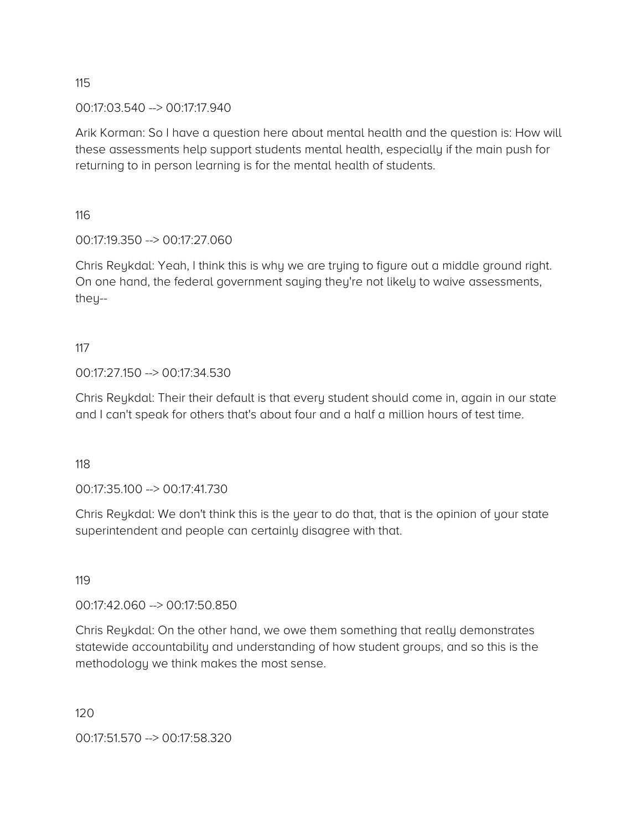00:17:03.540 --> 00:17:17.940

Arik Korman: So I have a question here about mental health and the question is: How will these assessments help support students mental health, especially if the main push for returning to in person learning is for the mental health of students.

116

00:17:19.350 --> 00:17:27.060

Chris Reykdal: Yeah, I think this is why we are trying to figure out a middle ground right. On one hand, the federal government saying they're not likely to waive assessments, they--

## 117

00:17:27.150 --> 00:17:34.530

Chris Reykdal: Their their default is that every student should come in, again in our state and I can't speak for others that's about four and a half a million hours of test time.

118

00:17:35.100 --> 00:17:41.730

Chris Reykdal: We don't think this is the year to do that, that is the opinion of your state superintendent and people can certainly disagree with that.

119

00:17:42.060 --> 00:17:50.850

Chris Reykdal: On the other hand, we owe them something that really demonstrates statewide accountability and understanding of how student groups, and so this is the methodology we think makes the most sense.

120

00:17:51.570 --> 00:17:58.320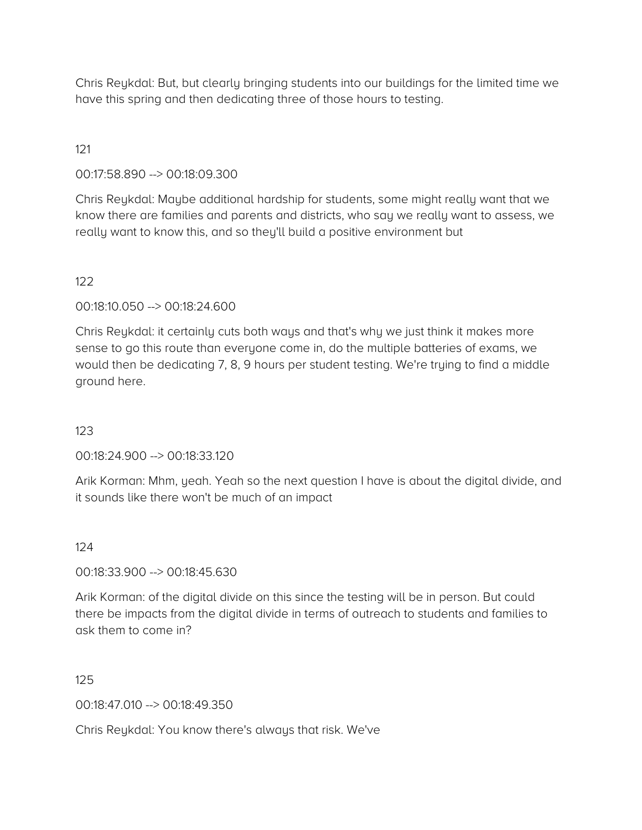Chris Reykdal: But, but clearly bringing students into our buildings for the limited time we have this spring and then dedicating three of those hours to testing.

## 121

00:17:58.890 --> 00:18:09.300

Chris Reykdal: Maybe additional hardship for students, some might really want that we know there are families and parents and districts, who say we really want to assess, we really want to know this, and so they'll build a positive environment but

#### 122

00:18:10.050 --> 00:18:24.600

Chris Reykdal: it certainly cuts both ways and that's why we just think it makes more sense to go this route than everyone come in, do the multiple batteries of exams, we would then be dedicating 7, 8, 9 hours per student testing. We're trying to find a middle ground here.

123

00:18:24.900 --> 00:18:33.120

Arik Korman: Mhm, yeah. Yeah so the next question I have is about the digital divide, and it sounds like there won't be much of an impact

124

00:18:33.900 --> 00:18:45.630

Arik Korman: of the digital divide on this since the testing will be in person. But could there be impacts from the digital divide in terms of outreach to students and families to ask them to come in?

125

00:18:47.010 --> 00:18:49.350

Chris Reykdal: You know there's always that risk. We've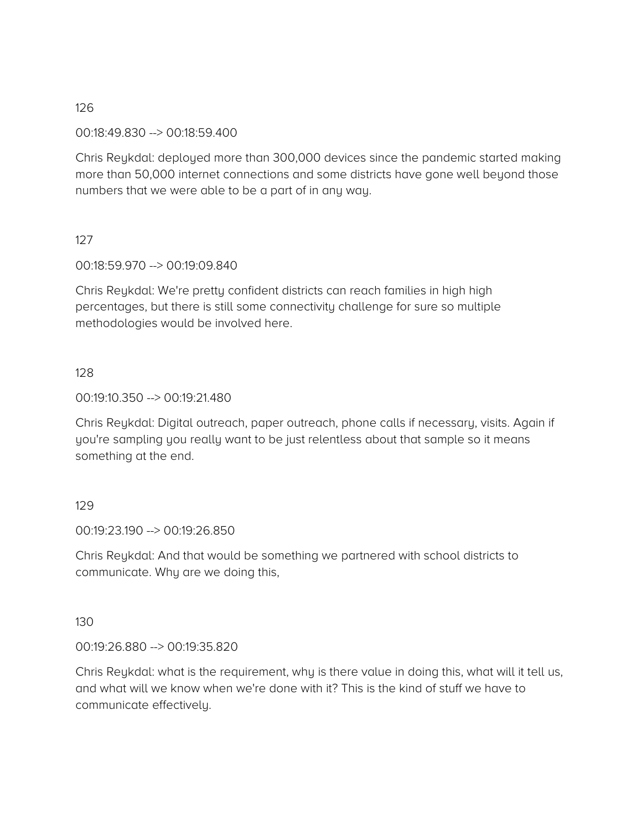00:18:49.830 --> 00:18:59.400

Chris Reykdal: deployed more than 300,000 devices since the pandemic started making more than 50,000 internet connections and some districts have gone well beyond those numbers that we were able to be a part of in any way.

#### 127

00:18:59.970 --> 00:19:09.840

Chris Reykdal: We're pretty confident districts can reach families in high high percentages, but there is still some connectivity challenge for sure so multiple methodologies would be involved here.

#### 128

00:19:10.350 --> 00:19:21.480

Chris Reykdal: Digital outreach, paper outreach, phone calls if necessary, visits. Again if you're sampling you really want to be just relentless about that sample so it means something at the end.

#### 129

00:19:23.190 --> 00:19:26.850

Chris Reykdal: And that would be something we partnered with school districts to communicate. Why are we doing this,

#### 130

00:19:26.880 --> 00:19:35.820

Chris Reykdal: what is the requirement, why is there value in doing this, what will it tell us, and what will we know when we're done with it? This is the kind of stuff we have to communicate effectively.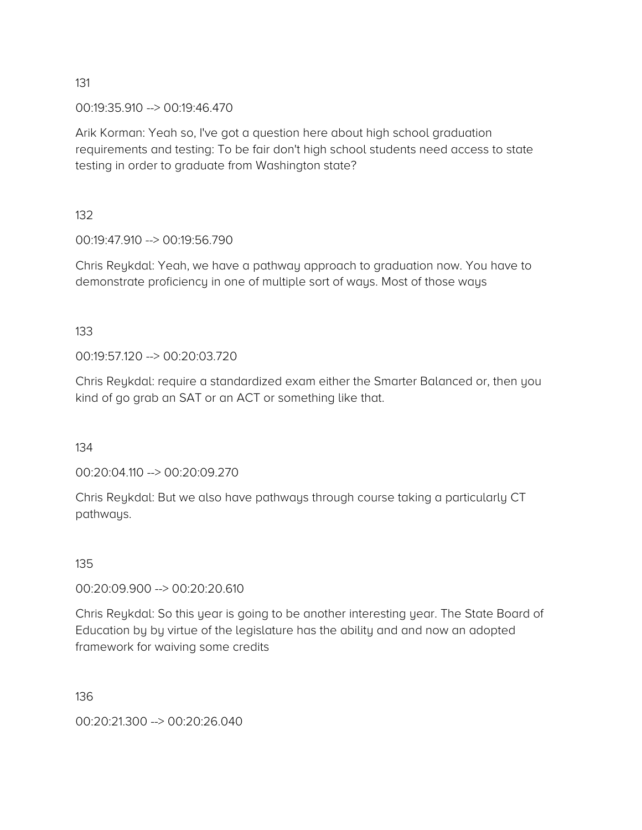00:19:35.910 --> 00:19:46.470

Arik Korman: Yeah so, I've got a question here about high school graduation requirements and testing: To be fair don't high school students need access to state testing in order to graduate from Washington state?

132

00:19:47.910 --> 00:19:56.790

Chris Reykdal: Yeah, we have a pathway approach to graduation now. You have to demonstrate proficiency in one of multiple sort of ways. Most of those ways

133

00:19:57.120 --> 00:20:03.720

Chris Reykdal: require a standardized exam either the Smarter Balanced or, then you kind of go grab an SAT or an ACT or something like that.

134

00:20:04.110 --> 00:20:09.270

Chris Reykdal: But we also have pathways through course taking a particularly CT pathways.

135

00:20:09.900 --> 00:20:20.610

Chris Reykdal: So this year is going to be another interesting year. The State Board of Education by by virtue of the legislature has the ability and and now an adopted framework for waiving some credits

136

00:20:21.300 --> 00:20:26.040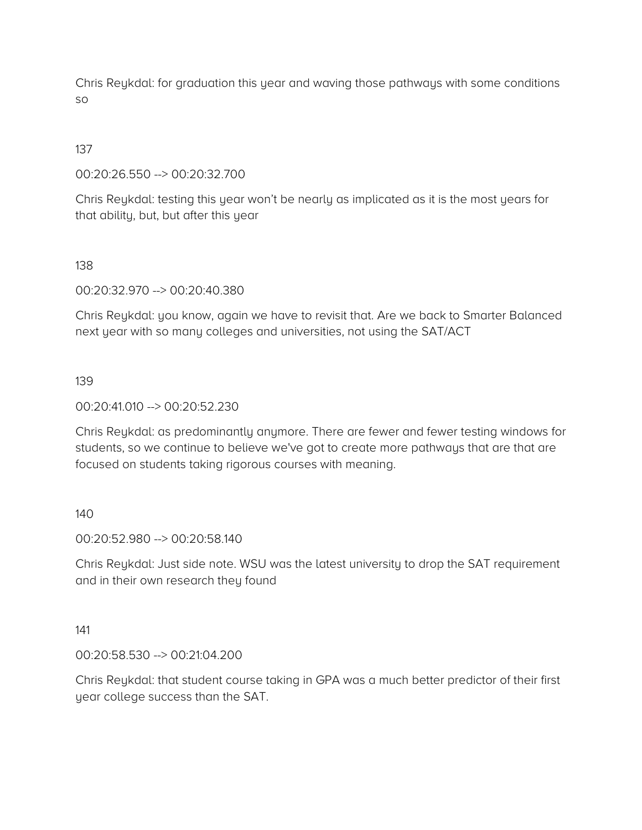Chris Reykdal: for graduation this year and waving those pathways with some conditions so

## 137

00:20:26.550 --> 00:20:32.700

Chris Reykdal: testing this year won't be nearly as implicated as it is the most years for that ability, but, but after this year

#### 138

00:20:32.970 --> 00:20:40.380

Chris Reykdal: you know, again we have to revisit that. Are we back to Smarter Balanced next year with so many colleges and universities, not using the SAT/ACT

#### 139

00:20:41.010 --> 00:20:52.230

Chris Reykdal: as predominantly anymore. There are fewer and fewer testing windows for students, so we continue to believe we've got to create more pathways that are that are focused on students taking rigorous courses with meaning.

#### 140

00:20:52.980 --> 00:20:58.140

Chris Reykdal: Just side note. WSU was the latest university to drop the SAT requirement and in their own research they found

#### 141

00:20:58.530 --> 00:21:04.200

Chris Reykdal: that student course taking in GPA was a much better predictor of their first year college success than the SAT.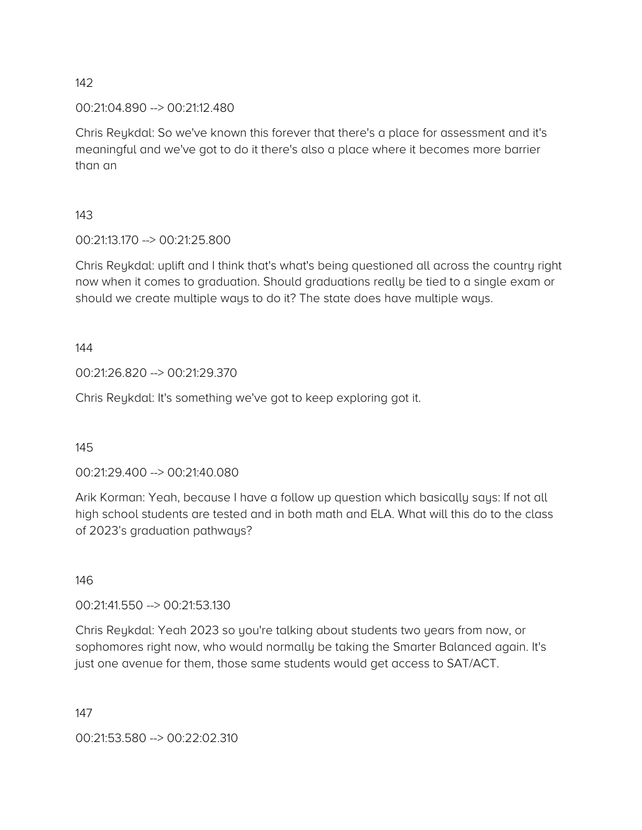00:21:04.890 --> 00:21:12.480

Chris Reykdal: So we've known this forever that there's a place for assessment and it's meaningful and we've got to do it there's also a place where it becomes more barrier than an

143

00:21:13.170 --> 00:21:25.800

Chris Reykdal: uplift and I think that's what's being questioned all across the country right now when it comes to graduation. Should graduations really be tied to a single exam or should we create multiple ways to do it? The state does have multiple ways.

144

00:21:26.820 --> 00:21:29.370

Chris Reykdal: It's something we've got to keep exploring got it.

145

00:21:29.400 --> 00:21:40.080

Arik Korman: Yeah, because I have a follow up question which basically says: If not all high school students are tested and in both math and ELA. What will this do to the class of 2023's graduation pathways?

146

00:21:41.550 --> 00:21:53.130

Chris Reykdal: Yeah 2023 so you're talking about students two years from now, or sophomores right now, who would normally be taking the Smarter Balanced again. It's just one avenue for them, those same students would get access to SAT/ACT.

147

00:21:53.580 --> 00:22:02.310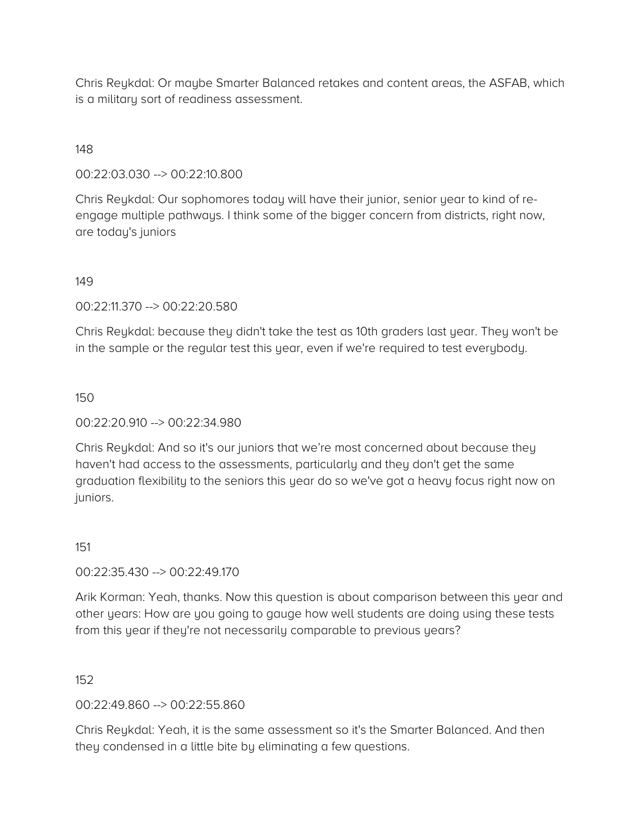Chris Reykdal: Or maybe Smarter Balanced retakes and content areas, the ASFAB, which is a military sort of readiness assessment.

### 148

00:22:03.030 --> 00:22:10.800

Chris Reykdal: Our sophomores today will have their junior, senior year to kind of reengage multiple pathways. I think some of the bigger concern from districts, right now, are today's juniors

#### 149

00:22:11.370 --> 00:22:20.580

Chris Reykdal: because they didn't take the test as 10th graders last year. They won't be in the sample or the regular test this year, even if we're required to test everybody.

#### 150

00:22:20.910 --> 00:22:34.980

Chris Reykdal: And so it's our juniors that we're most concerned about because they haven't had access to the assessments, particularly and they don't get the same graduation flexibility to the seniors this year do so we've got a heavy focus right now on juniors.

#### 151

#### 00:22:35.430 --> 00:22:49.170

Arik Korman: Yeah, thanks. Now this question is about comparison between this year and other years: How are you going to gauge how well students are doing using these tests from this year if they're not necessarily comparable to previous years?

#### 152

#### 00:22:49.860 --> 00:22:55.860

Chris Reykdal: Yeah, it is the same assessment so it's the Smarter Balanced. And then they condensed in a little bite by eliminating a few questions.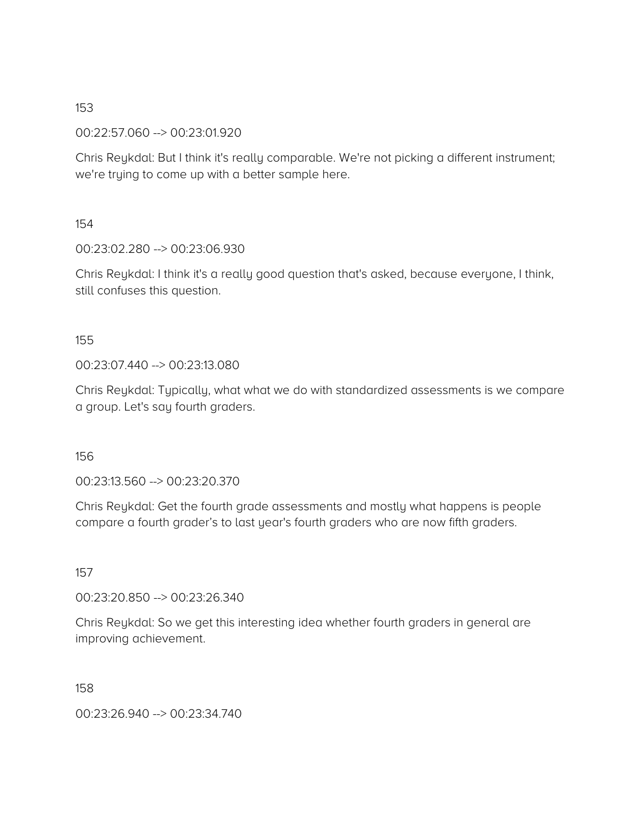00:22:57.060 --> 00:23:01.920

Chris Reykdal: But I think it's really comparable. We're not picking a different instrument; we're trying to come up with a better sample here.

#### 154

00:23:02.280 --> 00:23:06.930

Chris Reykdal: I think it's a really good question that's asked, because everyone, I think, still confuses this question.

#### 155

00:23:07.440 --> 00:23:13.080

Chris Reykdal: Typically, what what we do with standardized assessments is we compare a group. Let's say fourth graders.

156

00:23:13.560 --> 00:23:20.370

Chris Reykdal: Get the fourth grade assessments and mostly what happens is people compare a fourth grader's to last year's fourth graders who are now fifth graders.

157

00:23:20.850 --> 00:23:26.340

Chris Reykdal: So we get this interesting idea whether fourth graders in general are improving achievement.

158

00:23:26.940 --> 00:23:34.740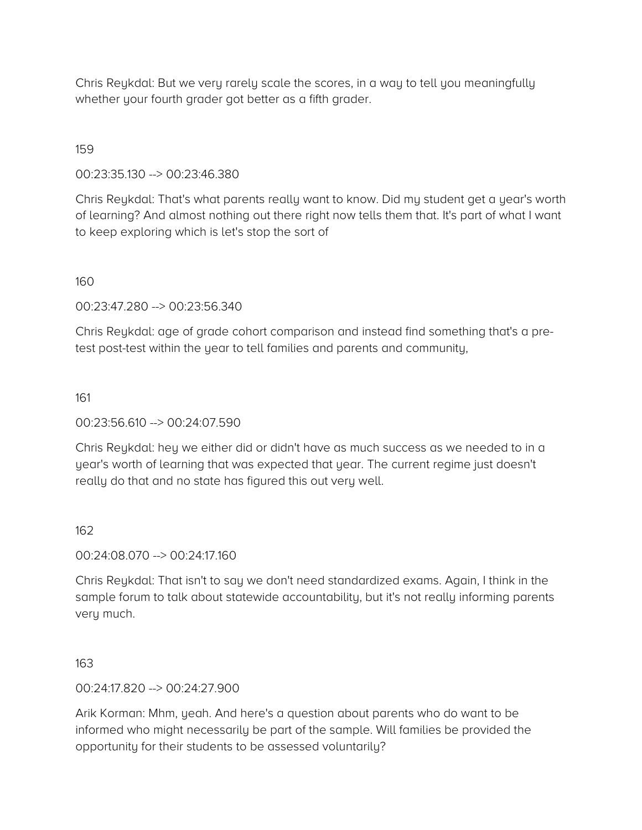Chris Reykdal: But we very rarely scale the scores, in a way to tell you meaningfully whether your fourth grader got better as a fifth grader.

### 159

00:23:35.130 --> 00:23:46.380

Chris Reykdal: That's what parents really want to know. Did my student get a year's worth of learning? And almost nothing out there right now tells them that. It's part of what I want to keep exploring which is let's stop the sort of

160

00:23:47.280 --> 00:23:56.340

Chris Reykdal: age of grade cohort comparison and instead find something that's a pretest post-test within the year to tell families and parents and community,

161

00:23:56.610 --> 00:24:07.590

Chris Reykdal: hey we either did or didn't have as much success as we needed to in a year's worth of learning that was expected that year. The current regime just doesn't really do that and no state has figured this out very well.

#### 162

00:24:08.070 --> 00:24:17.160

Chris Reykdal: That isn't to say we don't need standardized exams. Again, I think in the sample forum to talk about statewide accountability, but it's not really informing parents very much.

163

00:24:17.820 --> 00:24:27.900

Arik Korman: Mhm, yeah. And here's a question about parents who do want to be informed who might necessarily be part of the sample. Will families be provided the opportunity for their students to be assessed voluntarily?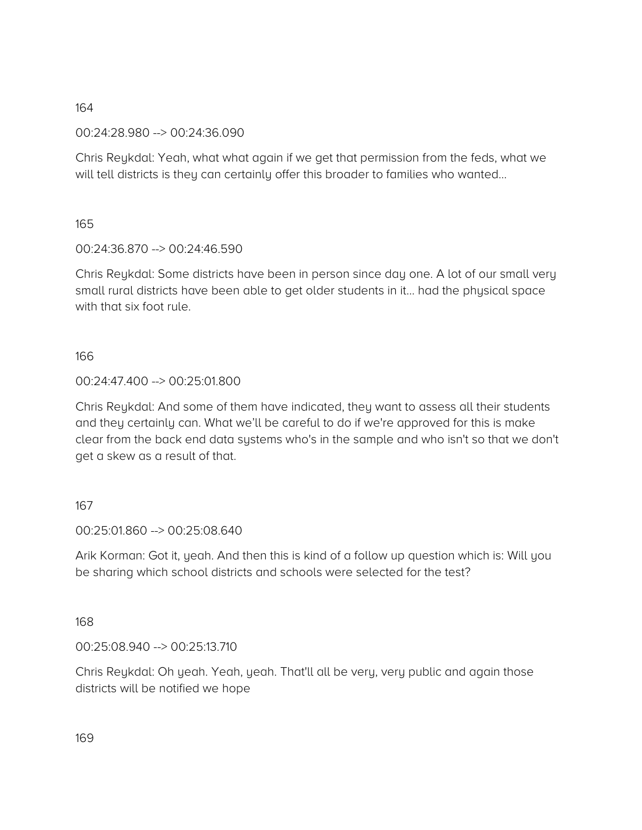00:24:28.980 --> 00:24:36.090

Chris Reykdal: Yeah, what what again if we get that permission from the feds, what we will tell districts is they can certainly offer this broader to families who wanted...

165

00:24:36.870 --> 00:24:46.590

Chris Reykdal: Some districts have been in person since day one. A lot of our small very small rural districts have been able to get older students in it… had the physical space with that six foot rule.

166

#### 00:24:47.400 --> 00:25:01.800

Chris Reykdal: And some of them have indicated, they want to assess all their students and they certainly can. What we'll be careful to do if we're approved for this is make clear from the back end data systems who's in the sample and who isn't so that we don't get a skew as a result of that.

#### 167

00:25:01.860 --> 00:25:08.640

Arik Korman: Got it, yeah. And then this is kind of a follow up question which is: Will you be sharing which school districts and schools were selected for the test?

168

00:25:08.940 --> 00:25:13.710

Chris Reykdal: Oh yeah. Yeah, yeah. That'll all be very, very public and again those districts will be notified we hope

169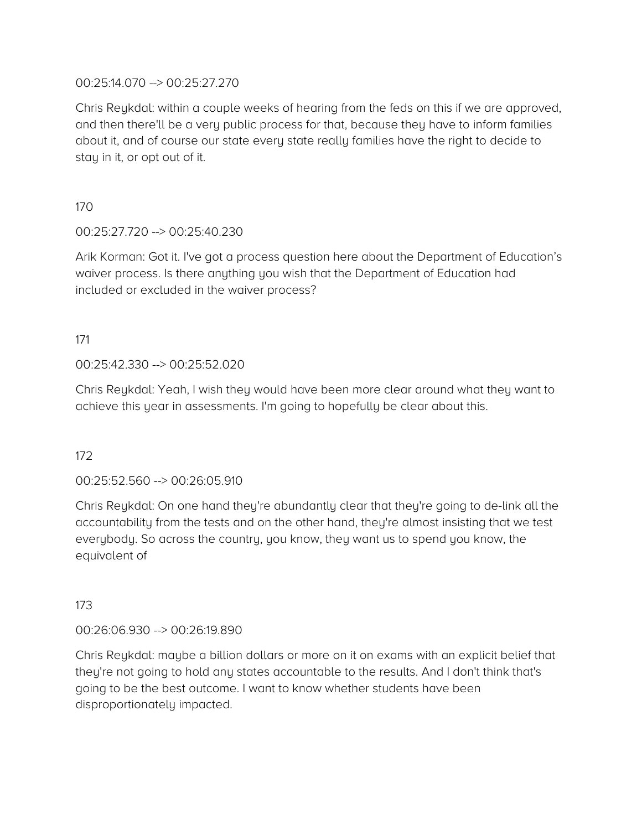#### 00:25:14.070 --> 00:25:27.270

Chris Reykdal: within a couple weeks of hearing from the feds on this if we are approved, and then there'll be a very public process for that, because they have to inform families about it, and of course our state every state really families have the right to decide to stay in it, or opt out of it.

170

00:25:27.720 --> 00:25:40.230

Arik Korman: Got it. I've got a process question here about the Department of Education's waiver process. Is there anything you wish that the Department of Education had included or excluded in the waiver process?

171

#### 00:25:42.330 --> 00:25:52.020

Chris Reykdal: Yeah, I wish they would have been more clear around what they want to achieve this year in assessments. I'm going to hopefully be clear about this.

172

## 00:25:52.560 --> 00:26:05.910

Chris Reykdal: On one hand they're abundantly clear that they're going to de-link all the accountability from the tests and on the other hand, they're almost insisting that we test everybody. So across the country, you know, they want us to spend you know, the equivalent of

173

## 00:26:06.930 --> 00:26:19.890

Chris Reykdal: maybe a billion dollars or more on it on exams with an explicit belief that they're not going to hold any states accountable to the results. And I don't think that's going to be the best outcome. I want to know whether students have been disproportionately impacted.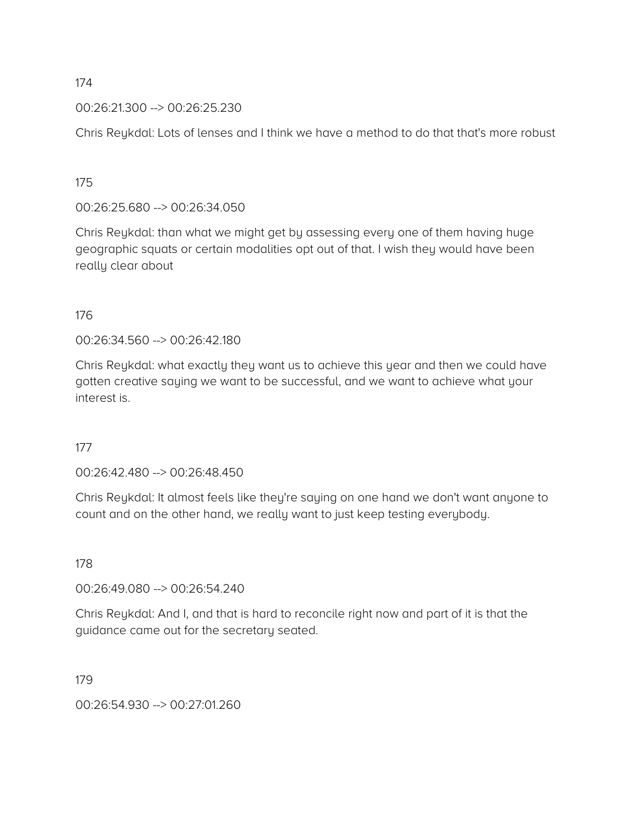00:26:21.300 --> 00:26:25.230

Chris Reykdal: Lots of lenses and I think we have a method to do that that's more robust

175

00:26:25.680 --> 00:26:34.050

Chris Reykdal: than what we might get by assessing every one of them having huge geographic squats or certain modalities opt out of that. I wish they would have been really clear about

176

00:26:34.560 --> 00:26:42.180

Chris Reykdal: what exactly they want us to achieve this year and then we could have gotten creative saying we want to be successful, and we want to achieve what your interest is.

177

00:26:42.480 --> 00:26:48.450

Chris Reykdal: It almost feels like they're saying on one hand we don't want anyone to count and on the other hand, we really want to just keep testing everybody.

178

00:26:49.080 --> 00:26:54.240

Chris Reykdal: And I, and that is hard to reconcile right now and part of it is that the guidance came out for the secretary seated.

179

00:26:54.930 --> 00:27:01.260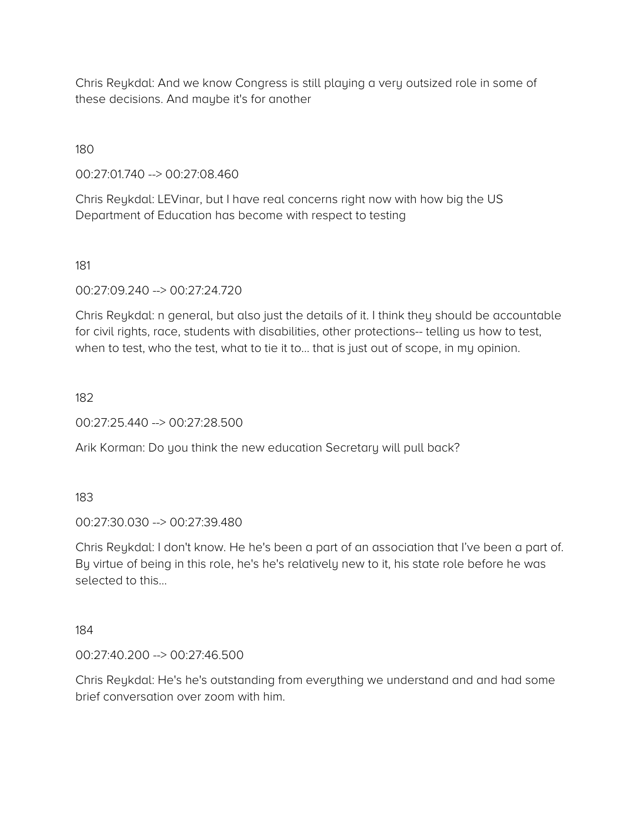Chris Reykdal: And we know Congress is still playing a very outsized role in some of these decisions. And maybe it's for another

180

00:27:01.740 --> 00:27:08.460

Chris Reykdal: LEVinar, but I have real concerns right now with how big the US Department of Education has become with respect to testing

181

00:27:09.240 --> 00:27:24.720

Chris Reykdal: n general, but also just the details of it. I think they should be accountable for civil rights, race, students with disabilities, other protections-- telling us how to test, when to test, who the test, what to tie it to... that is just out of scope, in my opinion.

182

00:27:25.440 --> 00:27:28.500

Arik Korman: Do you think the new education Secretary will pull back?

183

00:27:30.030 --> 00:27:39.480

Chris Reykdal: I don't know. He he's been a part of an association that I've been a part of. By virtue of being in this role, he's he's relatively new to it, his state role before he was selected to this…

184

00:27:40.200 --> 00:27:46.500

Chris Reykdal: He's he's outstanding from everything we understand and and had some brief conversation over zoom with him.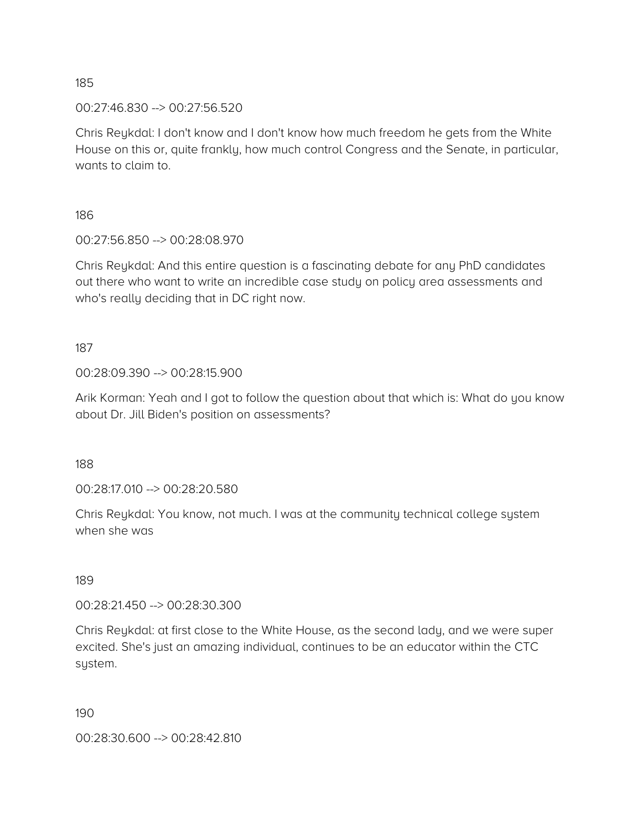00:27:46.830 --> 00:27:56.520

Chris Reykdal: I don't know and I don't know how much freedom he gets from the White House on this or, quite frankly, how much control Congress and the Senate, in particular, wants to claim to.

186

00:27:56.850 --> 00:28:08.970

Chris Reykdal: And this entire question is a fascinating debate for any PhD candidates out there who want to write an incredible case study on policy area assessments and who's really deciding that in DC right now.

187

00:28:09.390 --> 00:28:15.900

Arik Korman: Yeah and I got to follow the question about that which is: What do you know about Dr. Jill Biden's position on assessments?

188

00:28:17.010 --> 00:28:20.580

Chris Reykdal: You know, not much. I was at the community technical college system when she was

189

00:28:21.450 --> 00:28:30.300

Chris Reykdal: at first close to the White House, as the second lady, and we were super excited. She's just an amazing individual, continues to be an educator within the CTC system.

190

00:28:30.600 --> 00:28:42.810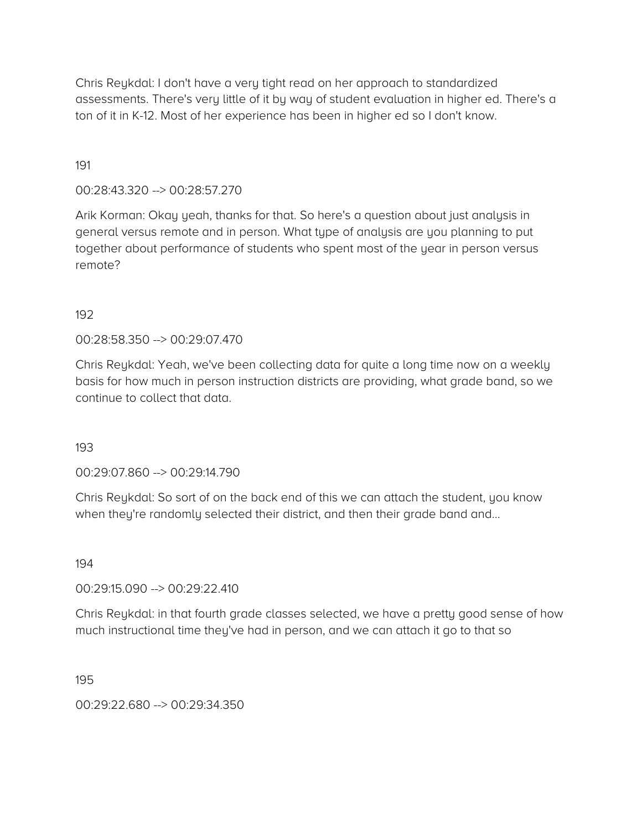Chris Reykdal: I don't have a very tight read on her approach to standardized assessments. There's very little of it by way of student evaluation in higher ed. There's a ton of it in K-12. Most of her experience has been in higher ed so I don't know.

### 191

### 00:28:43.320 --> 00:28:57.270

Arik Korman: Okay yeah, thanks for that. So here's a question about just analysis in general versus remote and in person. What type of analysis are you planning to put together about performance of students who spent most of the year in person versus remote?

#### 192

00:28:58.350 --> 00:29:07.470

Chris Reykdal: Yeah, we've been collecting data for quite a long time now on a weekly basis for how much in person instruction districts are providing, what grade band, so we continue to collect that data.

193

00:29:07.860 --> 00:29:14.790

Chris Reykdal: So sort of on the back end of this we can attach the student, you know when they're randomly selected their district, and then their grade band and...

194

00:29:15.090 --> 00:29:22.410

Chris Reykdal: in that fourth grade classes selected, we have a pretty good sense of how much instructional time they've had in person, and we can attach it go to that so

195

00:29:22.680 --> 00:29:34.350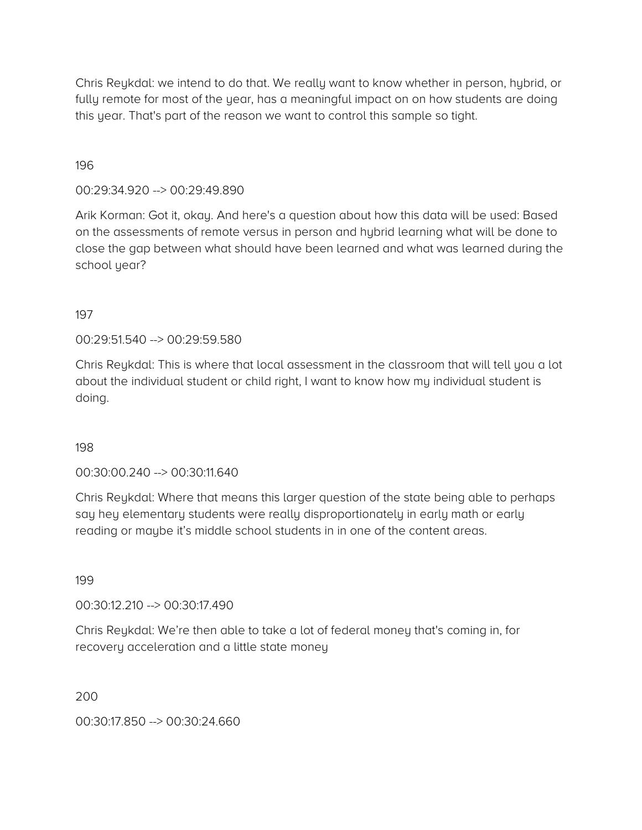Chris Reykdal: we intend to do that. We really want to know whether in person, hybrid, or fully remote for most of the year, has a meaningful impact on on how students are doing this year. That's part of the reason we want to control this sample so tight.

### 196

#### 00:29:34.920 --> 00:29:49.890

Arik Korman: Got it, okay. And here's a question about how this data will be used: Based on the assessments of remote versus in person and hybrid learning what will be done to close the gap between what should have been learned and what was learned during the school year?

#### 197

#### 00:29:51.540 --> 00:29:59.580

Chris Reykdal: This is where that local assessment in the classroom that will tell you a lot about the individual student or child right, I want to know how my individual student is doing.

#### 198

#### 00:30:00.240 --> 00:30:11.640

Chris Reykdal: Where that means this larger question of the state being able to perhaps say hey elementary students were really disproportionately in early math or early reading or maybe it's middle school students in in one of the content areas.

#### 199

#### 00:30:12.210 --> 00:30:17.490

Chris Reykdal: We're then able to take a lot of federal money that's coming in, for recovery acceleration and a little state money

200

00:30:17.850 --> 00:30:24.660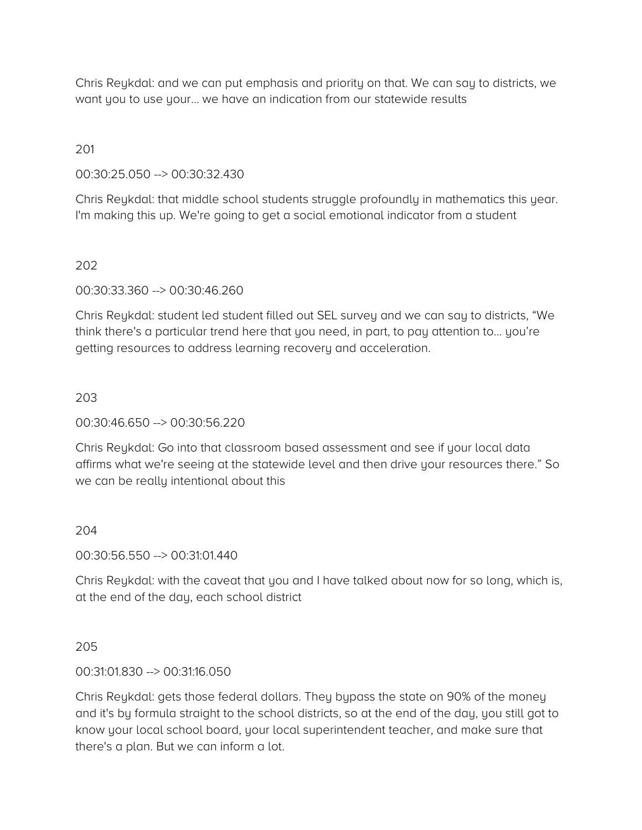Chris Reykdal: and we can put emphasis and priority on that. We can say to districts, we want you to use your… we have an indication from our statewide results

## 201

#### 00:30:25.050 --> 00:30:32.430

Chris Reykdal: that middle school students struggle profoundly in mathematics this year. I'm making this up. We're going to get a social emotional indicator from a student

#### 202

00:30:33.360 --> 00:30:46.260

Chris Reykdal: student led student filled out SEL survey and we can say to districts, "We think there's a particular trend here that you need, in part, to pay attention to… you're getting resources to address learning recovery and acceleration.

#### 203

00:30:46.650 --> 00:30:56.220

Chris Reykdal: Go into that classroom based assessment and see if your local data affirms what we're seeing at the statewide level and then drive your resources there." So we can be really intentional about this

## 204

00:30:56.550 --> 00:31:01.440

Chris Reykdal: with the caveat that you and I have talked about now for so long, which is, at the end of the day, each school district

## 205

00:31:01.830 --> 00:31:16.050

Chris Reykdal: gets those federal dollars. They bypass the state on 90% of the money and it's by formula straight to the school districts, so at the end of the day, you still got to know your local school board, your local superintendent teacher, and make sure that there's a plan. But we can inform a lot.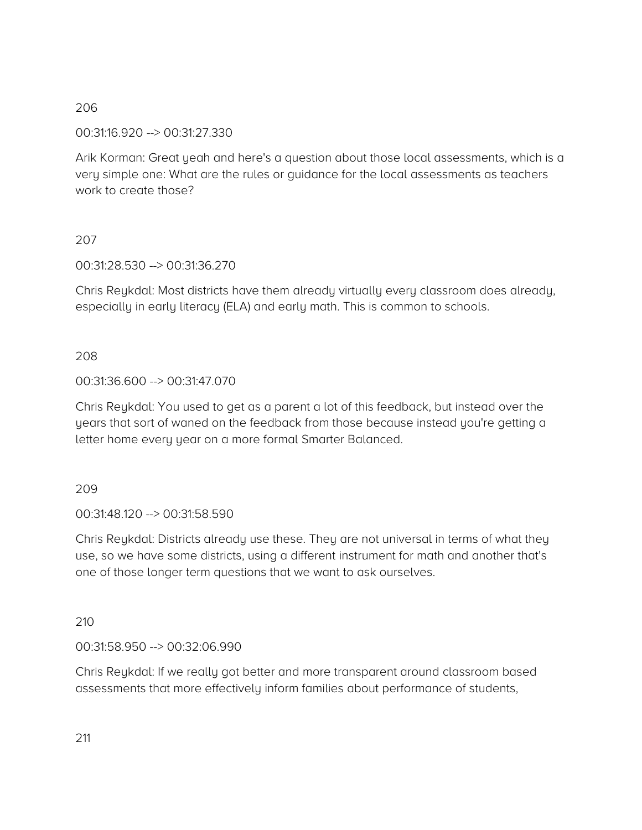00:31:16.920 --> 00:31:27.330

Arik Korman: Great yeah and here's a question about those local assessments, which is a very simple one: What are the rules or guidance for the local assessments as teachers work to create those?

## 207

00:31:28.530 --> 00:31:36.270

Chris Reykdal: Most districts have them already virtually every classroom does already, especially in early literacy (ELA) and early math. This is common to schools.

# 208

## 00:31:36.600 --> 00:31:47.070

Chris Reykdal: You used to get as a parent a lot of this feedback, but instead over the years that sort of waned on the feedback from those because instead you're getting a letter home every year on a more formal Smarter Balanced.

## 209

00:31:48.120 --> 00:31:58.590

Chris Reykdal: Districts already use these. They are not universal in terms of what they use, so we have some districts, using a different instrument for math and another that's one of those longer term questions that we want to ask ourselves.

## 210

00:31:58.950 --> 00:32:06.990

Chris Reykdal: If we really got better and more transparent around classroom based assessments that more effectively inform families about performance of students,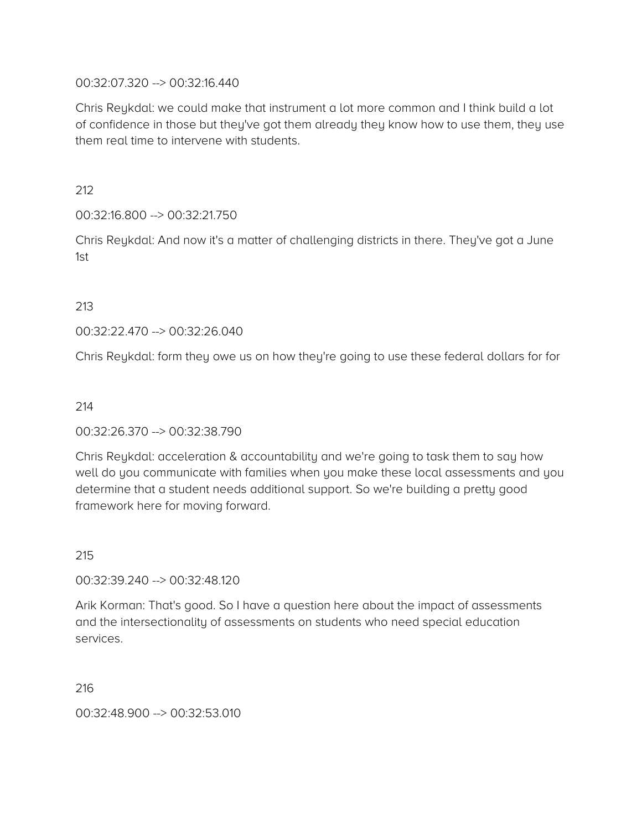#### 00:32:07.320 --> 00:32:16.440

Chris Reykdal: we could make that instrument a lot more common and I think build a lot of confidence in those but they've got them already they know how to use them, they use them real time to intervene with students.

212

00:32:16.800 --> 00:32:21.750

Chris Reykdal: And now it's a matter of challenging districts in there. They've got a June 1st

#### 213

00:32:22.470 --> 00:32:26.040

Chris Reykdal: form they owe us on how they're going to use these federal dollars for for

#### 214

#### 00:32:26.370 --> 00:32:38.790

Chris Reykdal: acceleration & accountability and we're going to task them to say how well do you communicate with families when you make these local assessments and you determine that a student needs additional support. So we're building a pretty good framework here for moving forward.

## 215

00:32:39.240 --> 00:32:48.120

Arik Korman: That's good. So I have a question here about the impact of assessments and the intersectionality of assessments on students who need special education services.

216

00:32:48.900 --> 00:32:53.010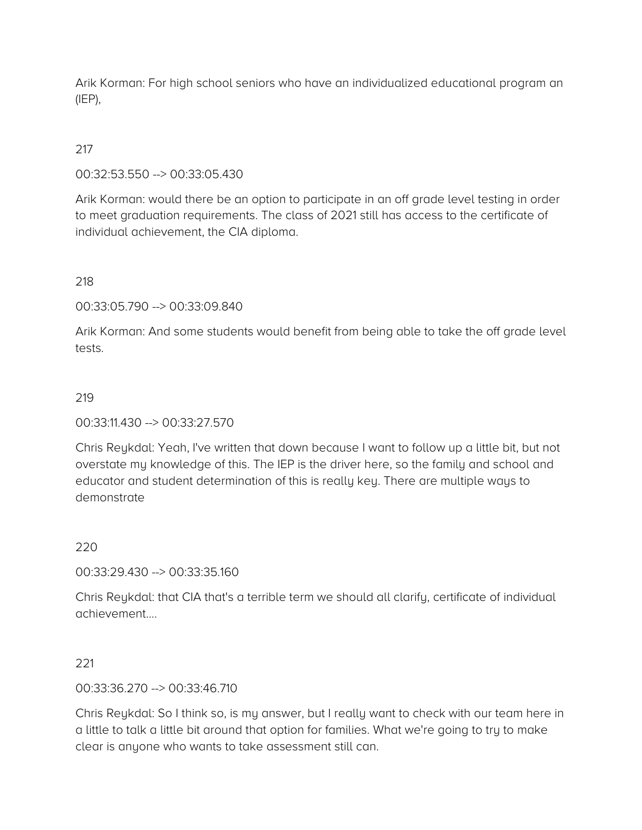Arik Korman: For high school seniors who have an individualized educational program an (IEP),

## 217

00:32:53.550 --> 00:33:05.430

Arik Korman: would there be an option to participate in an off grade level testing in order to meet graduation requirements. The class of 2021 still has access to the certificate of individual achievement, the CIA diploma.

218

00:33:05.790 --> 00:33:09.840

Arik Korman: And some students would benefit from being able to take the off grade level tests.

#### 219

00:33:11.430 --> 00:33:27.570

Chris Reykdal: Yeah, I've written that down because I want to follow up a little bit, but not overstate my knowledge of this. The IEP is the driver here, so the family and school and educator and student determination of this is really key. There are multiple ways to demonstrate

#### 220

00:33:29.430 --> 00:33:35.160

Chris Reykdal: that CIA that's a terrible term we should all clarify, certificate of individual achievement….

221

00:33:36.270 --> 00:33:46.710

Chris Reykdal: So I think so, is my answer, but I really want to check with our team here in a little to talk a little bit around that option for families. What we're going to try to make clear is anyone who wants to take assessment still can.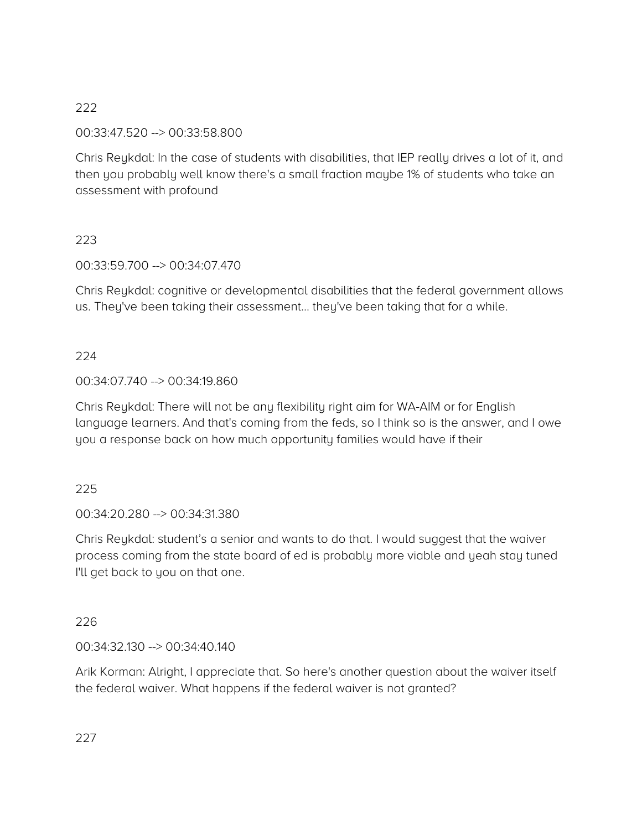## 00:33:47.520 --> 00:33:58.800

Chris Reykdal: In the case of students with disabilities, that IEP really drives a lot of it, and then you probably well know there's a small fraction maybe 1% of students who take an assessment with profound

## 223

00:33:59.700 --> 00:34:07.470

Chris Reykdal: cognitive or developmental disabilities that the federal government allows us. They've been taking their assessment… they've been taking that for a while.

## 224

## 00:34:07.740 --> 00:34:19.860

Chris Reykdal: There will not be any flexibility right aim for WA-AIM or for English language learners. And that's coming from the feds, so I think so is the answer, and I owe you a response back on how much opportunity families would have if their

## 225

00:34:20.280 --> 00:34:31.380

Chris Reykdal: student's a senior and wants to do that. I would suggest that the waiver process coming from the state board of ed is probably more viable and yeah stay tuned I'll get back to you on that one.

## 226

00:34:32.130 --> 00:34:40.140

Arik Korman: Alright, I appreciate that. So here's another question about the waiver itself the federal waiver. What happens if the federal waiver is not granted?

227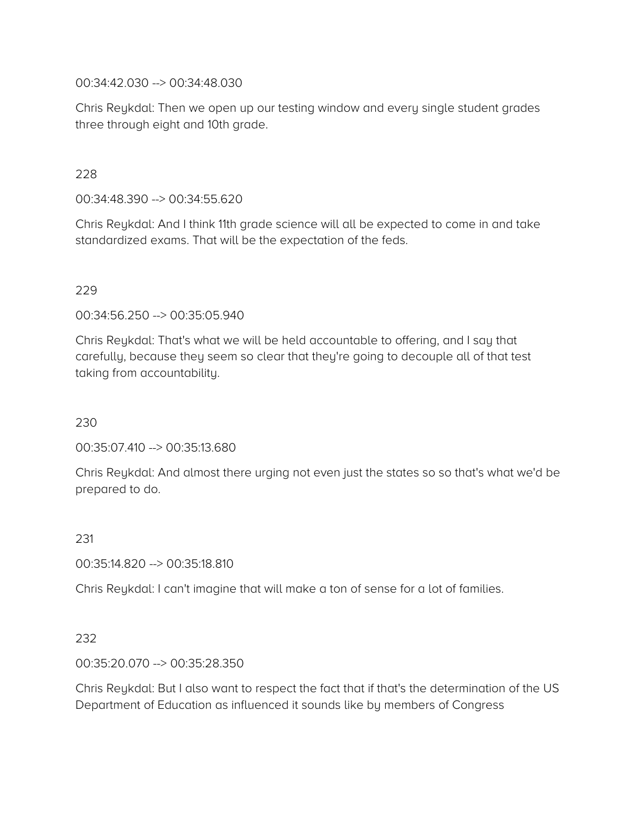00:34:42.030 --> 00:34:48.030

Chris Reykdal: Then we open up our testing window and every single student grades three through eight and 10th grade.

## 228

00:34:48.390 --> 00:34:55.620

Chris Reykdal: And I think 11th grade science will all be expected to come in and take standardized exams. That will be the expectation of the feds.

## 229

00:34:56.250 --> 00:35:05.940

Chris Reykdal: That's what we will be held accountable to offering, and I say that carefully, because they seem so clear that they're going to decouple all of that test taking from accountability.

230

00:35:07.410 --> 00:35:13.680

Chris Reykdal: And almost there urging not even just the states so so that's what we'd be prepared to do.

# 231

00:35:14.820 --> 00:35:18.810

Chris Reykdal: I can't imagine that will make a ton of sense for a lot of families.

#### 232

00:35:20.070 --> 00:35:28.350

Chris Reykdal: But I also want to respect the fact that if that's the determination of the US Department of Education as influenced it sounds like by members of Congress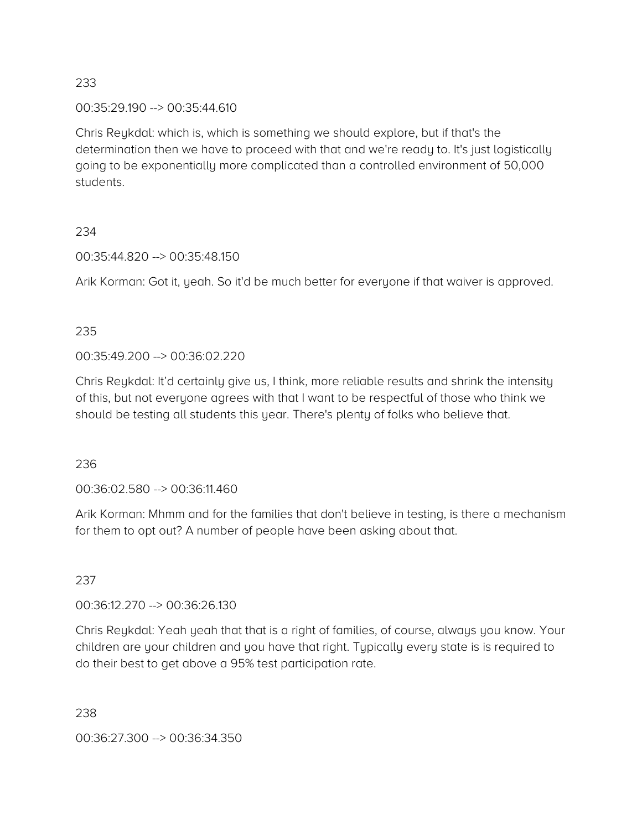00:35:29.190 --> 00:35:44.610

Chris Reykdal: which is, which is something we should explore, but if that's the determination then we have to proceed with that and we're ready to. It's just logistically going to be exponentially more complicated than a controlled environment of 50,000 students.

## 234

00:35:44.820 --> 00:35:48.150

Arik Korman: Got it, yeah. So it'd be much better for everyone if that waiver is approved.

## 235

00:35:49.200 --> 00:36:02.220

Chris Reykdal: It'd certainly give us, I think, more reliable results and shrink the intensity of this, but not everyone agrees with that I want to be respectful of those who think we should be testing all students this year. There's plenty of folks who believe that.

236

00:36:02.580 --> 00:36:11.460

Arik Korman: Mhmm and for the families that don't believe in testing, is there a mechanism for them to opt out? A number of people have been asking about that.

# 237

00:36:12.270 --> 00:36:26.130

Chris Reykdal: Yeah yeah that that is a right of families, of course, always you know. Your children are your children and you have that right. Typically every state is is required to do their best to get above a 95% test participation rate.

238

00:36:27.300 --> 00:36:34.350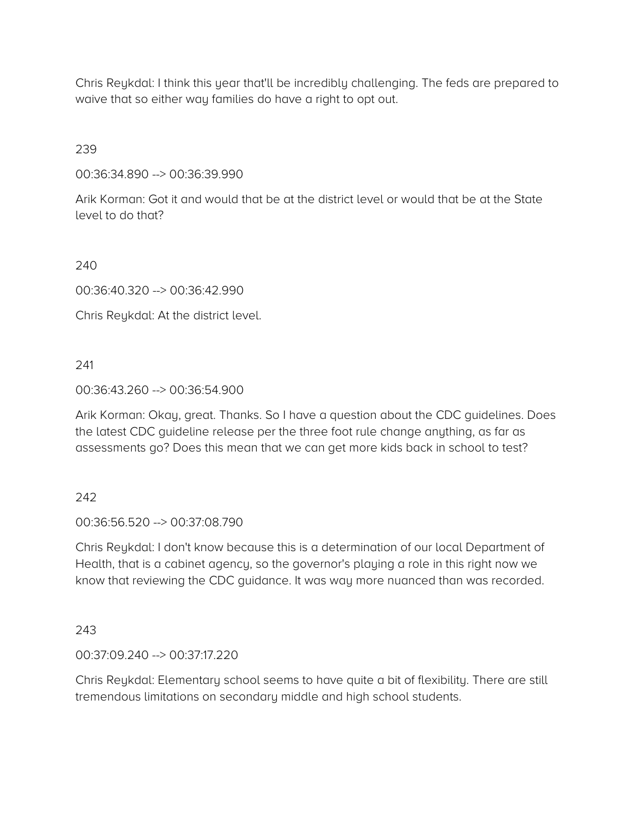Chris Reykdal: I think this year that'll be incredibly challenging. The feds are prepared to waive that so either way families do have a right to opt out.

239

00:36:34.890 --> 00:36:39.990

Arik Korman: Got it and would that be at the district level or would that be at the State level to do that?

240

00:36:40.320 --> 00:36:42.990

Chris Reykdal: At the district level.

241

00:36:43.260 --> 00:36:54.900

Arik Korman: Okay, great. Thanks. So I have a question about the CDC guidelines. Does the latest CDC guideline release per the three foot rule change anything, as far as assessments go? Does this mean that we can get more kids back in school to test?

242

00:36:56.520 --> 00:37:08.790

Chris Reykdal: I don't know because this is a determination of our local Department of Health, that is a cabinet agency, so the governor's playing a role in this right now we know that reviewing the CDC guidance. It was way more nuanced than was recorded.

243

00:37:09.240 --> 00:37:17.220

Chris Reykdal: Elementary school seems to have quite a bit of flexibility. There are still tremendous limitations on secondary middle and high school students.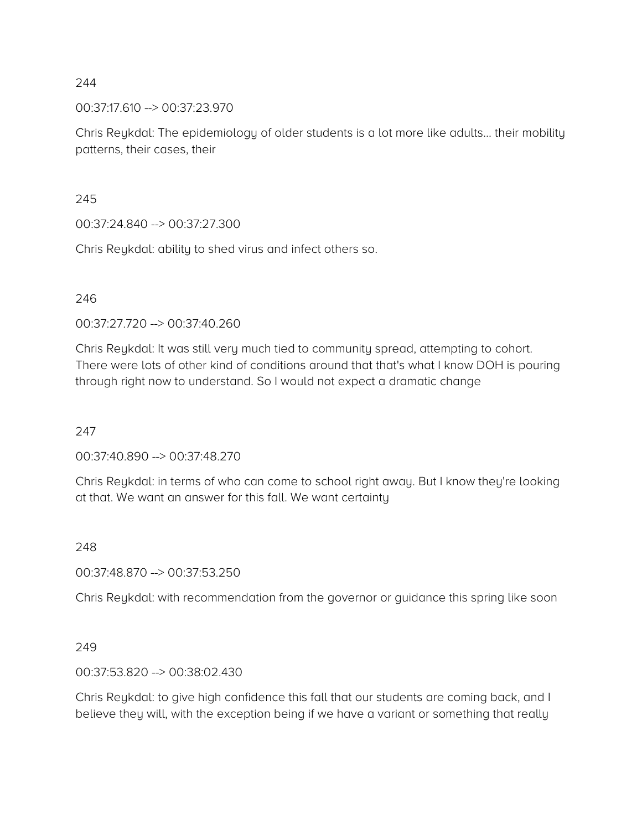00:37:17.610 --> 00:37:23.970

Chris Reykdal: The epidemiology of older students is a lot more like adults… their mobility patterns, their cases, their

### 245

00:37:24.840 --> 00:37:27.300

Chris Reykdal: ability to shed virus and infect others so.

#### 246

00:37:27.720 --> 00:37:40.260

Chris Reykdal: It was still very much tied to community spread, attempting to cohort. There were lots of other kind of conditions around that that's what I know DOH is pouring through right now to understand. So I would not expect a dramatic change

## 247

00:37:40.890 --> 00:37:48.270

Chris Reykdal: in terms of who can come to school right away. But I know they're looking at that. We want an answer for this fall. We want certainty

## 248

00:37:48.870 --> 00:37:53.250

Chris Reykdal: with recommendation from the governor or guidance this spring like soon

## 249

00:37:53.820 --> 00:38:02.430

Chris Reykdal: to give high confidence this fall that our students are coming back, and I believe they will, with the exception being if we have a variant or something that really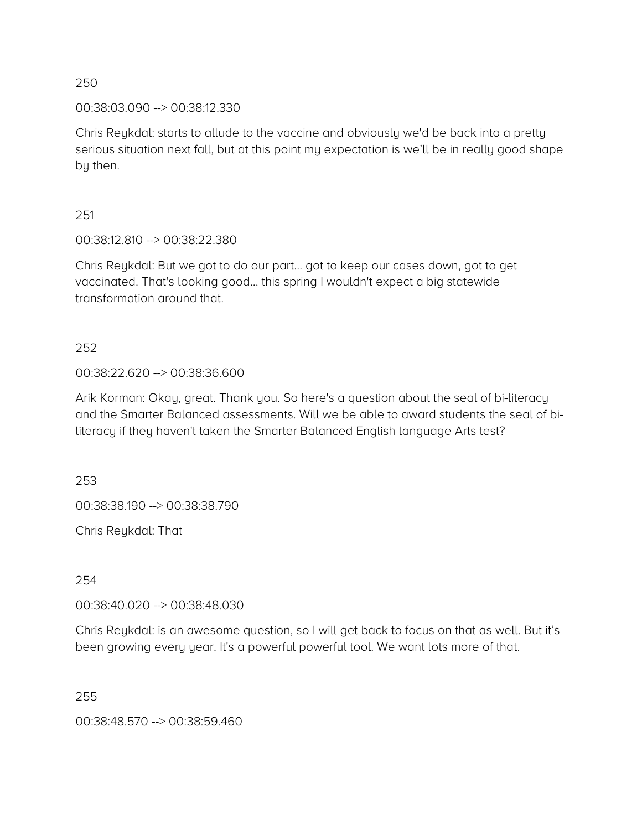00:38:03.090 --> 00:38:12.330

Chris Reykdal: starts to allude to the vaccine and obviously we'd be back into a pretty serious situation next fall, but at this point my expectation is we'll be in really good shape by then.

251

00:38:12.810 --> 00:38:22.380

Chris Reykdal: But we got to do our part… got to keep our cases down, got to get vaccinated. That's looking good… this spring I wouldn't expect a big statewide transformation around that.

252

00:38:22.620 --> 00:38:36.600

Arik Korman: Okay, great. Thank you. So here's a question about the seal of bi-literacy and the Smarter Balanced assessments. Will we be able to award students the seal of biliteracy if they haven't taken the Smarter Balanced English language Arts test?

253

00:38:38.190 --> 00:38:38.790

Chris Reykdal: That

254

00:38:40.020 --> 00:38:48.030

Chris Reykdal: is an awesome question, so I will get back to focus on that as well. But it's been growing every year. It's a powerful powerful tool. We want lots more of that.

255

00:38:48.570 --> 00:38:59.460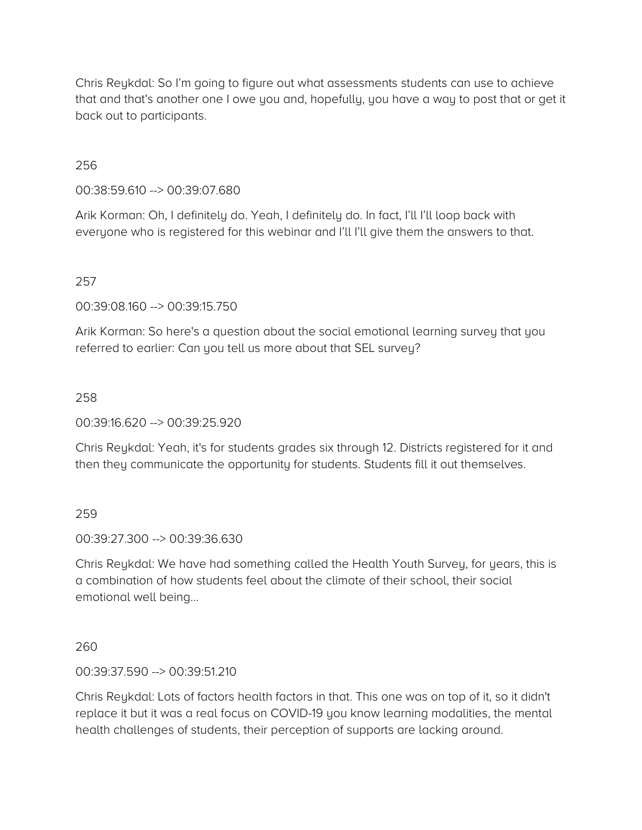Chris Reykdal: So I'm going to figure out what assessments students can use to achieve that and that's another one I owe you and, hopefully, you have a way to post that or get it back out to participants.

### 256

00:38:59.610 --> 00:39:07.680

Arik Korman: Oh, I definitely do. Yeah, I definitely do. In fact, I'll I'll loop back with everyone who is registered for this webinar and I'll I'll give them the answers to that.

#### 257

00:39:08.160 --> 00:39:15.750

Arik Korman: So here's a question about the social emotional learning survey that you referred to earlier: Can you tell us more about that SEL survey?

#### 258

00:39:16.620 --> 00:39:25.920

Chris Reykdal: Yeah, it's for students grades six through 12. Districts registered for it and then they communicate the opportunity for students. Students fill it out themselves.

#### 259

00:39:27.300 --> 00:39:36.630

Chris Reykdal: We have had something called the Health Youth Survey, for years, this is a combination of how students feel about the climate of their school, their social emotional well being…

#### 260

00:39:37.590 --> 00:39:51.210

Chris Reykdal: Lots of factors health factors in that. This one was on top of it, so it didn't replace it but it was a real focus on COVID-19 you know learning modalities, the mental health challenges of students, their perception of supports are lacking around.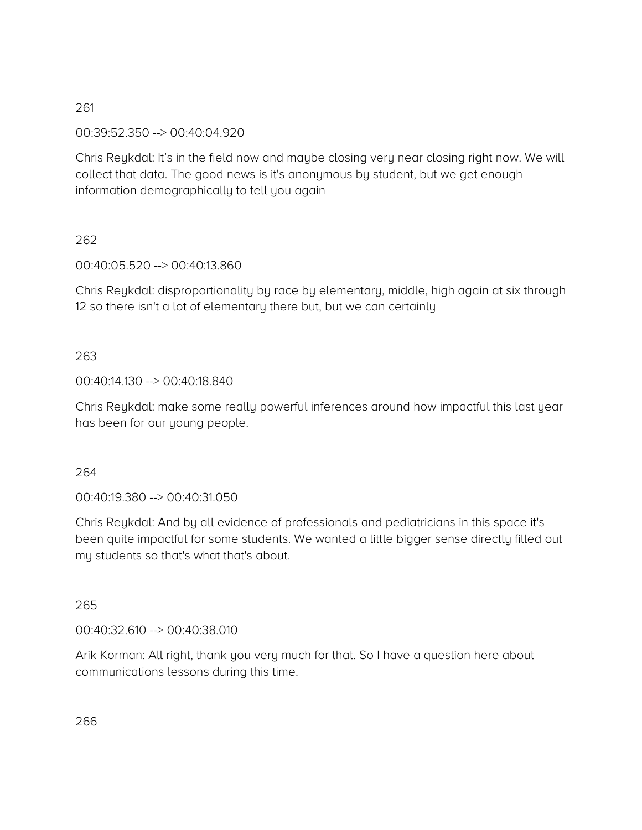00:39:52.350 --> 00:40:04.920

Chris Reykdal: It's in the field now and maybe closing very near closing right now. We will collect that data. The good news is it's anonymous by student, but we get enough information demographically to tell you again

## 262

00:40:05.520 --> 00:40:13.860

Chris Reykdal: disproportionality by race by elementary, middle, high again at six through 12 so there isn't a lot of elementary there but, but we can certainly

## 263

00:40:14.130 --> 00:40:18.840

Chris Reykdal: make some really powerful inferences around how impactful this last year has been for our young people.

## 264

00:40:19.380 --> 00:40:31.050

Chris Reykdal: And by all evidence of professionals and pediatricians in this space it's been quite impactful for some students. We wanted a little bigger sense directly filled out my students so that's what that's about.

265

00:40:32.610 --> 00:40:38.010

Arik Korman: All right, thank you very much for that. So I have a question here about communications lessons during this time.

266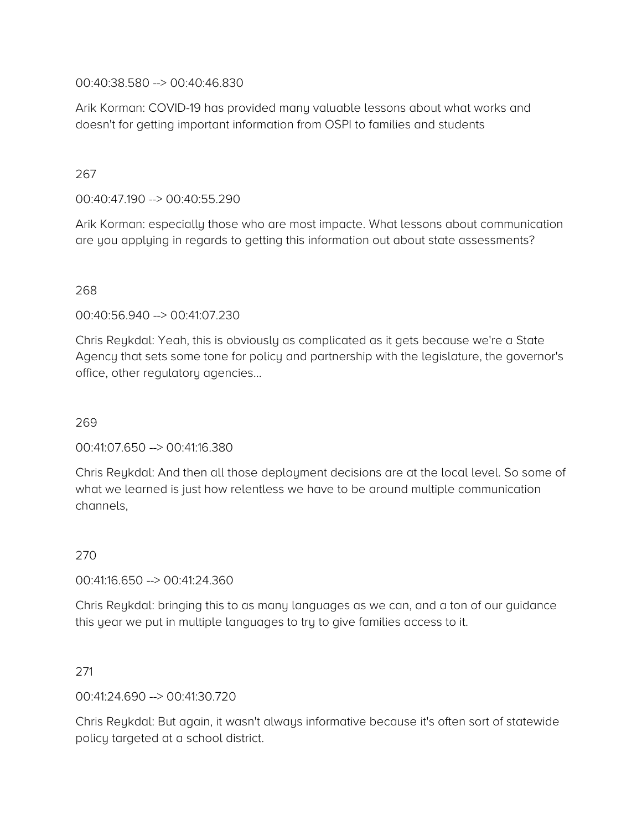00:40:38.580 --> 00:40:46.830

Arik Korman: COVID-19 has provided many valuable lessons about what works and doesn't for getting important information from OSPI to families and students

## 267

00:40:47.190 --> 00:40:55.290

Arik Korman: especially those who are most impacte. What lessons about communication are you applying in regards to getting this information out about state assessments?

## 268

00:40:56.940 --> 00:41:07.230

Chris Reykdal: Yeah, this is obviously as complicated as it gets because we're a State Agency that sets some tone for policy and partnership with the legislature, the governor's office, other regulatory agencies…

## 269

00:41:07.650 --> 00:41:16.380

Chris Reykdal: And then all those deployment decisions are at the local level. So some of what we learned is just how relentless we have to be around multiple communication channels,

## 270

00:41:16.650 --> 00:41:24.360

Chris Reykdal: bringing this to as many languages as we can, and a ton of our guidance this year we put in multiple languages to try to give families access to it.

## 271

00:41:24.690 --> 00:41:30.720

Chris Reykdal: But again, it wasn't always informative because it's often sort of statewide policy targeted at a school district.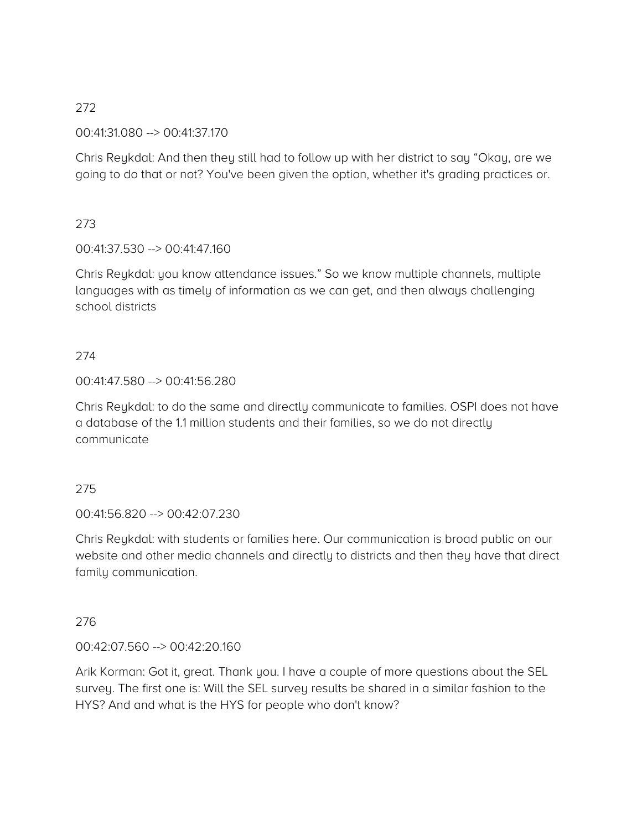00:41:31.080 --> 00:41:37.170

Chris Reykdal: And then they still had to follow up with her district to say "Okay, are we going to do that or not? You've been given the option, whether it's grading practices or.

## 273

00:41:37.530 --> 00:41:47.160

Chris Reykdal: you know attendance issues." So we know multiple channels, multiple languages with as timely of information as we can get, and then always challenging school districts

## 274

#### 00:41:47.580 --> 00:41:56.280

Chris Reykdal: to do the same and directly communicate to families. OSPI does not have a database of the 1.1 million students and their families, so we do not directly communicate

## 275

00:41:56.820 --> 00:42:07.230

Chris Reykdal: with students or families here. Our communication is broad public on our website and other media channels and directly to districts and then they have that direct family communication.

# 276

## 00:42:07.560 --> 00:42:20.160

Arik Korman: Got it, great. Thank you. I have a couple of more questions about the SEL survey. The first one is: Will the SEL survey results be shared in a similar fashion to the HYS? And and what is the HYS for people who don't know?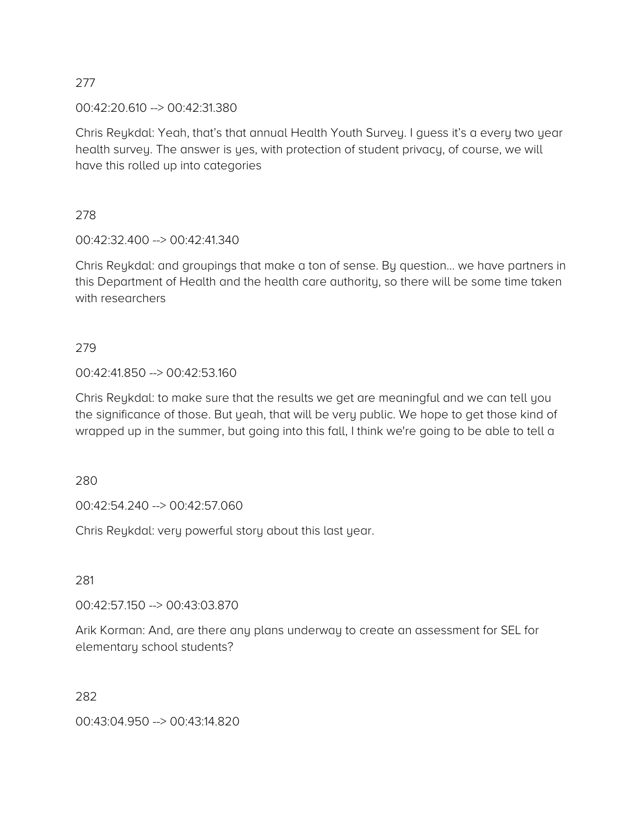00:42:20.610 --> 00:42:31.380

Chris Reykdal: Yeah, that's that annual Health Youth Survey. I guess it's a every two year health survey. The answer is yes, with protection of student privacy, of course, we will have this rolled up into categories

278

00:42:32.400 --> 00:42:41.340

Chris Reykdal: and groupings that make a ton of sense. By question… we have partners in this Department of Health and the health care authority, so there will be some time taken with researchers

# 279

00:42:41.850 --> 00:42:53.160

Chris Reykdal: to make sure that the results we get are meaningful and we can tell you the significance of those. But yeah, that will be very public. We hope to get those kind of wrapped up in the summer, but going into this fall, I think we're going to be able to tell a

280

00:42:54.240 --> 00:42:57.060

Chris Reykdal: very powerful story about this last year.

281

00:42:57.150 --> 00:43:03.870

Arik Korman: And, are there any plans underway to create an assessment for SEL for elementary school students?

282

00:43:04.950 --> 00:43:14.820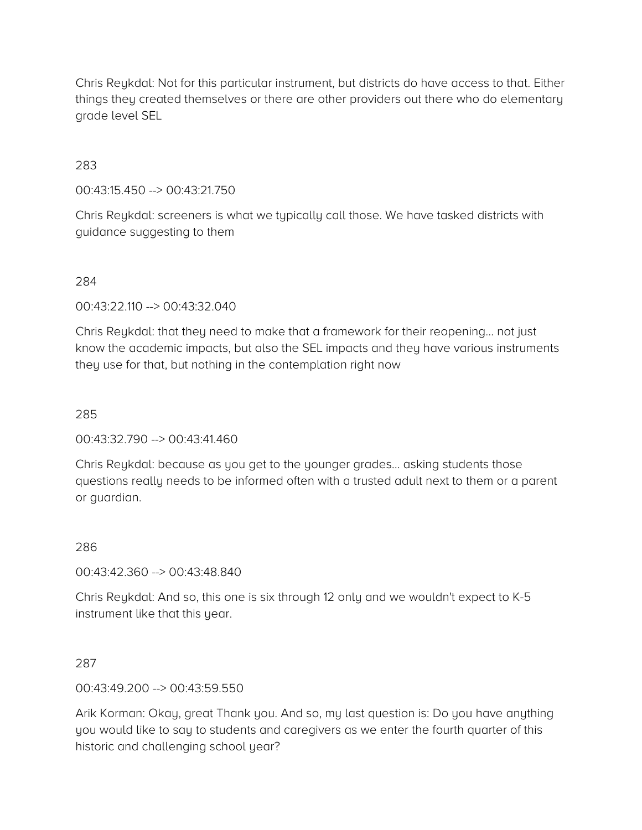Chris Reykdal: Not for this particular instrument, but districts do have access to that. Either things they created themselves or there are other providers out there who do elementary grade level SEL

### 283

00:43:15.450 --> 00:43:21.750

Chris Reykdal: screeners is what we typically call those. We have tasked districts with guidance suggesting to them

## 284

00:43:22.110 --> 00:43:32.040

Chris Reykdal: that they need to make that a framework for their reopening… not just know the academic impacts, but also the SEL impacts and they have various instruments they use for that, but nothing in the contemplation right now

### 285

00:43:32.790 --> 00:43:41.460

Chris Reykdal: because as you get to the younger grades… asking students those questions really needs to be informed often with a trusted adult next to them or a parent or guardian.

#### 286

00:43:42.360 --> 00:43:48.840

Chris Reykdal: And so, this one is six through 12 only and we wouldn't expect to K-5 instrument like that this year.

#### 287

00:43:49.200 --> 00:43:59.550

Arik Korman: Okay, great Thank you. And so, my last question is: Do you have anything you would like to say to students and caregivers as we enter the fourth quarter of this historic and challenging school year?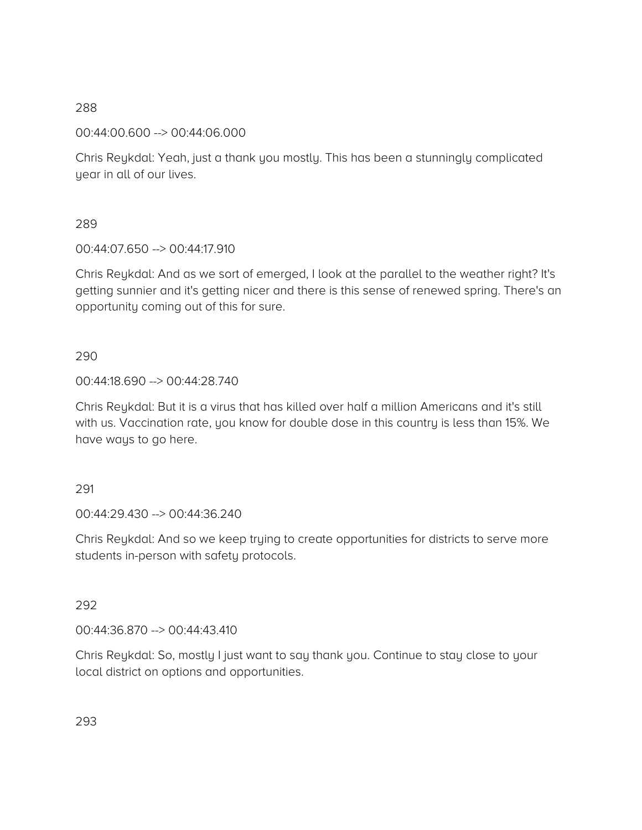00:44:00.600 --> 00:44:06.000

Chris Reykdal: Yeah, just a thank you mostly. This has been a stunningly complicated year in all of our lives.

# 289

00:44:07.650 --> 00:44:17.910

Chris Reykdal: And as we sort of emerged, I look at the parallel to the weather right? It's getting sunnier and it's getting nicer and there is this sense of renewed spring. There's an opportunity coming out of this for sure.

# 290

00:44:18.690 --> 00:44:28.740

Chris Reykdal: But it is a virus that has killed over half a million Americans and it's still with us. Vaccination rate, you know for double dose in this country is less than 15%. We have ways to go here.

# 291

00:44:29.430 --> 00:44:36.240

Chris Reykdal: And so we keep trying to create opportunities for districts to serve more students in-person with safety protocols.

# 292

00:44:36.870 --> 00:44:43.410

Chris Reykdal: So, mostly I just want to say thank you. Continue to stay close to your local district on options and opportunities.

293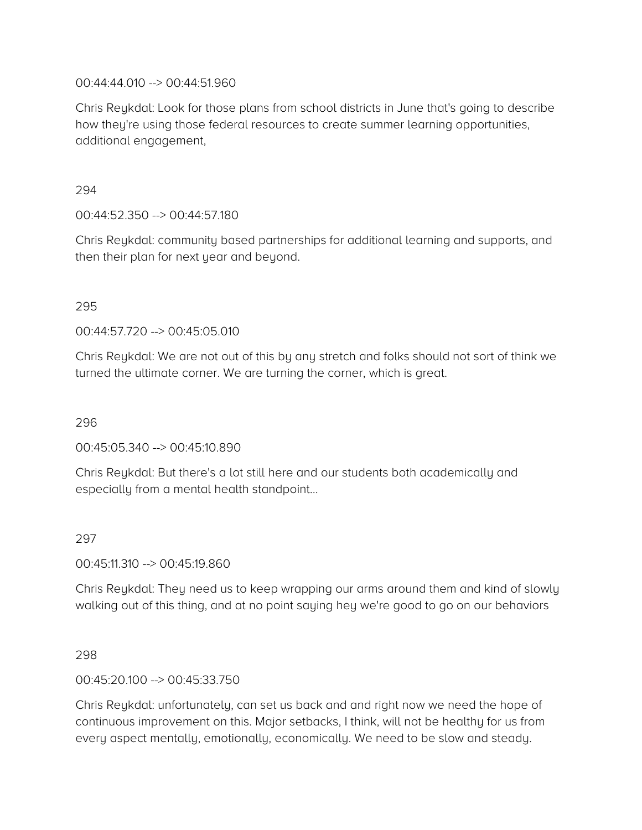#### 00:44:44.010 --> 00:44:51.960

Chris Reykdal: Look for those plans from school districts in June that's going to describe how they're using those federal resources to create summer learning opportunities, additional engagement,

#### 294

00:44:52.350 --> 00:44:57.180

Chris Reykdal: community based partnerships for additional learning and supports, and then their plan for next year and beyond.

## 295

00:44:57.720 --> 00:45:05.010

Chris Reykdal: We are not out of this by any stretch and folks should not sort of think we turned the ultimate corner. We are turning the corner, which is great.

## 296

00:45:05.340 --> 00:45:10.890

Chris Reykdal: But there's a lot still here and our students both academically and especially from a mental health standpoint…

## 297

00:45:11.310 --> 00:45:19.860

Chris Reykdal: They need us to keep wrapping our arms around them and kind of slowly walking out of this thing, and at no point saying hey we're good to go on our behaviors

298

00:45:20.100 --> 00:45:33.750

Chris Reykdal: unfortunately, can set us back and and right now we need the hope of continuous improvement on this. Major setbacks, I think, will not be healthy for us from every aspect mentally, emotionally, economically. We need to be slow and steady.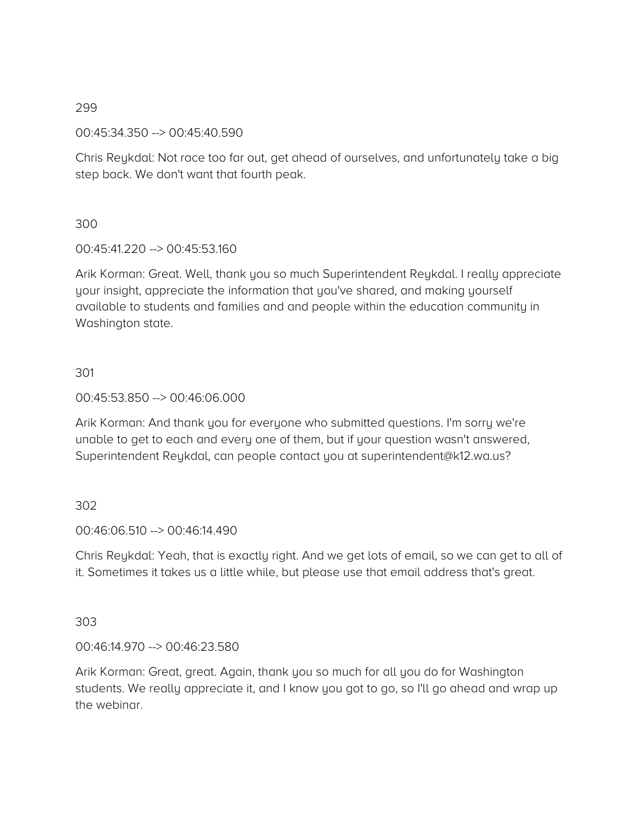00:45:34.350 --> 00:45:40.590

Chris Reykdal: Not race too far out, get ahead of ourselves, and unfortunately take a big step back. We don't want that fourth peak.

300

00:45:41.220 --> 00:45:53.160

Arik Korman: Great. Well, thank you so much Superintendent Reykdal. I really appreciate your insight, appreciate the information that you've shared, and making yourself available to students and families and and people within the education community in Washington state.

#### 301

00:45:53.850 --> 00:46:06.000

Arik Korman: And thank you for everyone who submitted questions. I'm sorry we're unable to get to each and every one of them, but if your question wasn't answered, Superintendent Reykdal, can people contact you at superintendent@k12.wa.us?

#### 302

00:46:06.510 --> 00:46:14.490

Chris Reykdal: Yeah, that is exactly right. And we get lots of email, so we can get to all of it. Sometimes it takes us a little while, but please use that email address that's great.

303

00:46:14.970 --> 00:46:23.580

Arik Korman: Great, great. Again, thank you so much for all you do for Washington students. We really appreciate it, and I know you got to go, so I'll go ahead and wrap up the webinar.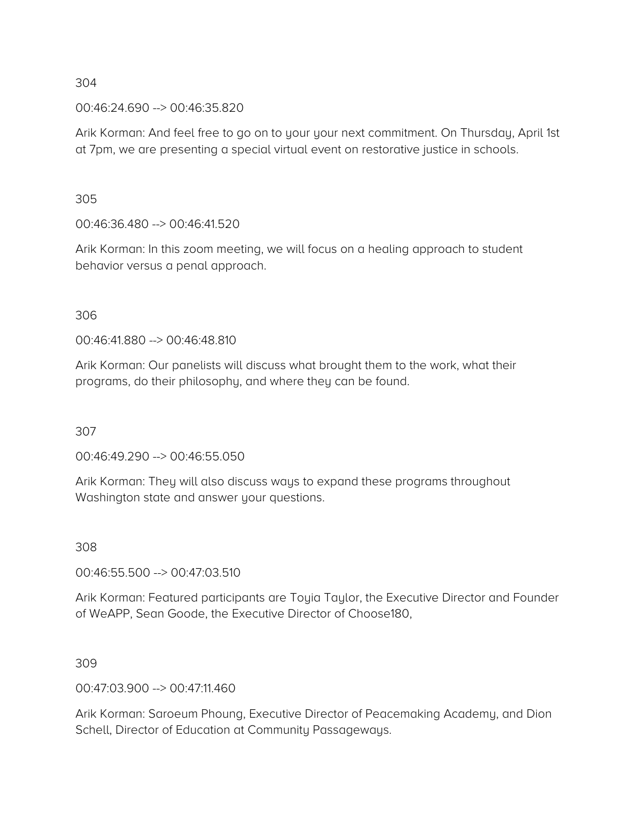00:46:24.690 --> 00:46:35.820

Arik Korman: And feel free to go on to your your next commitment. On Thursday, April 1st at 7pm, we are presenting a special virtual event on restorative justice in schools.

305

00:46:36.480 --> 00:46:41.520

Arik Korman: In this zoom meeting, we will focus on a healing approach to student behavior versus a penal approach.

306

00:46:41.880 --> 00:46:48.810

Arik Korman: Our panelists will discuss what brought them to the work, what their programs, do their philosophy, and where they can be found.

307

00:46:49.290 --> 00:46:55.050

Arik Korman: They will also discuss ways to expand these programs throughout Washington state and answer your questions.

308

00:46:55.500 --> 00:47:03.510

Arik Korman: Featured participants are Toyia Taylor, the Executive Director and Founder of WeAPP, Sean Goode, the Executive Director of Choose180,

309

00:47:03.900 --> 00:47:11.460

Arik Korman: Saroeum Phoung, Executive Director of Peacemaking Academy, and Dion Schell, Director of Education at Community Passageways.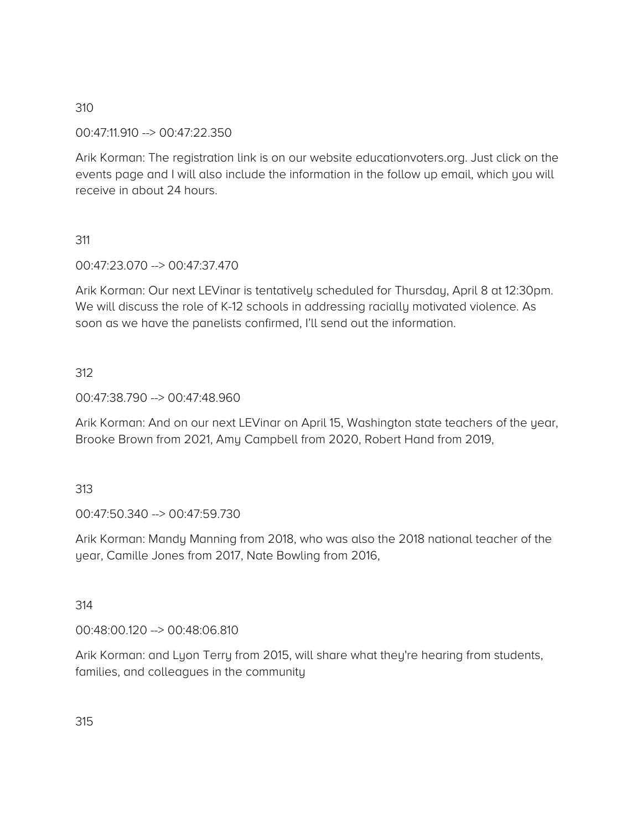00:47:11.910 --> 00:47:22.350

Arik Korman: The registration link is on our website educationvoters.org. Just click on the events page and I will also include the information in the follow up email, which you will receive in about 24 hours.

311

00:47:23.070 --> 00:47:37.470

Arik Korman: Our next LEVinar is tentatively scheduled for Thursday, April 8 at 12:30pm. We will discuss the role of K-12 schools in addressing racially motivated violence. As soon as we have the panelists confirmed, I'll send out the information.

## 312

00:47:38.790 --> 00:47:48.960

Arik Korman: And on our next LEVinar on April 15, Washington state teachers of the year, Brooke Brown from 2021, Amy Campbell from 2020, Robert Hand from 2019,

313

00:47:50.340 --> 00:47:59.730

Arik Korman: Mandy Manning from 2018, who was also the 2018 national teacher of the year, Camille Jones from 2017, Nate Bowling from 2016,

314

00:48:00.120 --> 00:48:06.810

Arik Korman: and Lyon Terry from 2015, will share what they're hearing from students, families, and colleagues in the community

315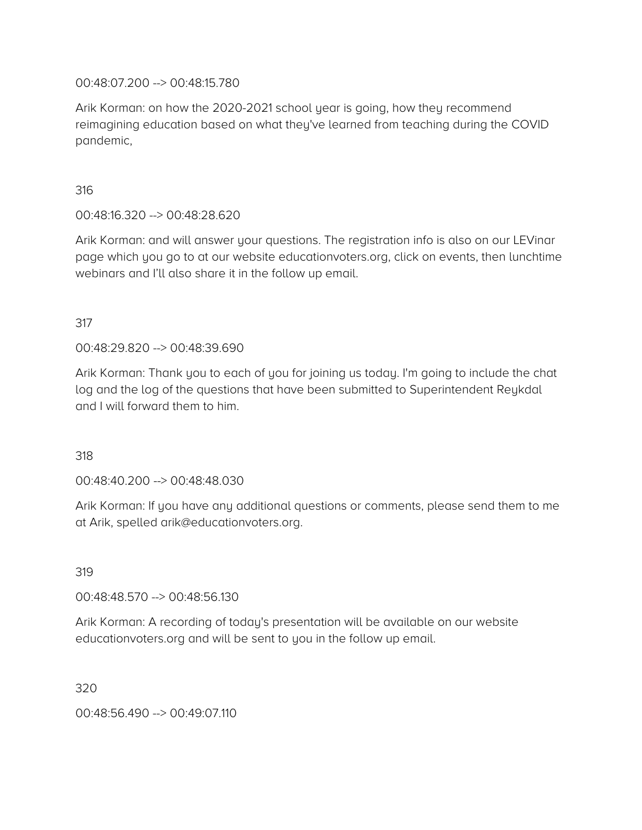00:48:07.200 --> 00:48:15.780

Arik Korman: on how the 2020-2021 school year is going, how they recommend reimagining education based on what they've learned from teaching during the COVID pandemic,

316

00:48:16.320 --> 00:48:28.620

Arik Korman: and will answer your questions. The registration info is also on our LEVinar page which you go to at our website educationvoters.org, click on events, then lunchtime webinars and I'll also share it in the follow up email.

317

00:48:29.820 --> 00:48:39.690

Arik Korman: Thank you to each of you for joining us today. I'm going to include the chat log and the log of the questions that have been submitted to Superintendent Reykdal and I will forward them to him.

318

00:48:40.200 --> 00:48:48.030

Arik Korman: If you have any additional questions or comments, please send them to me at Arik, spelled arik@educationvoters.org.

319

00:48:48.570 --> 00:48:56.130

Arik Korman: A recording of today's presentation will be available on our website educationvoters.org and will be sent to you in the follow up email.

320

00:48:56.490 --> 00:49:07.110